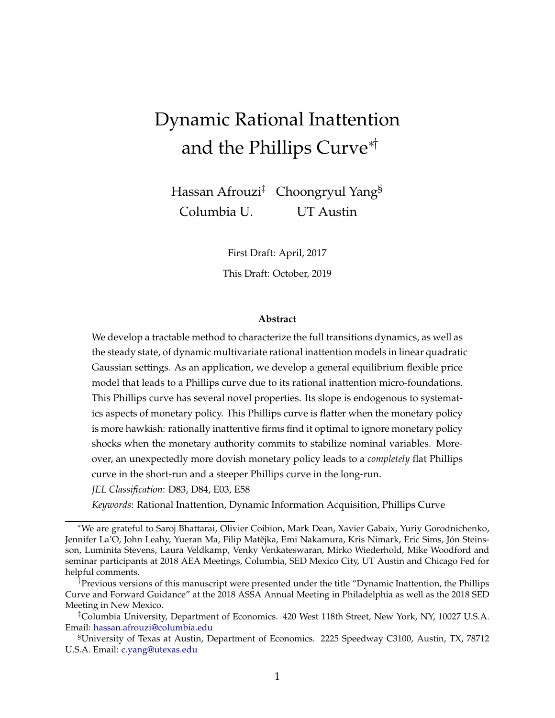# Dynamic Rational Inattention and the Phillips Curve∗†

Hassan Afrouzi<sup>‡</sup> Choongryul Yang<sup>§</sup> Columbia U. UT Austin

> First Draft: April, 2017 This Draft: October, 2019

#### **Abstract**

We develop a tractable method to characterize the full transitions dynamics, as well as the steady state, of dynamic multivariate rational inattention models in linear quadratic Gaussian settings. As an application, we develop a general equilibrium flexible price model that leads to a Phillips curve due to its rational inattention micro-foundations. This Phillips curve has several novel properties. Its slope is endogenous to systematics aspects of monetary policy. This Phillips curve is flatter when the monetary policy is more hawkish: rationally inattentive firms find it optimal to ignore monetary policy shocks when the monetary authority commits to stabilize nominal variables. Moreover, an unexpectedly more dovish monetary policy leads to a *completely* flat Phillips curve in the short-run and a steeper Phillips curve in the long-run.

*JEL Classification*: D83, D84, E03, E58

*Keywords*: Rational Inattention, Dynamic Information Acquisition, Phillips Curve

<sup>∗</sup>We are grateful to Saroj Bhattarai, Olivier Coibion, Mark Dean, Xavier Gabaix, Yuriy Gorodnichenko, Jennifer La'O, John Leahy, Yueran Ma, Filip Matějka, Emi Nakamura, Kris Nimark, Eric Sims, Jón Steinsson, Luminita Stevens, Laura Veldkamp, Venky Venkateswaran, Mirko Wiederhold, Mike Woodford and seminar participants at 2018 AEA Meetings, Columbia, SED Mexico City, UT Austin and Chicago Fed for helpful comments.

<sup>†</sup>Previous versions of this manuscript were presented under the title "Dynamic Inattention, the Phillips Curve and Forward Guidance" at the 2018 ASSA Annual Meeting in Philadelphia as well as the 2018 SED Meeting in New Mexico.

<sup>‡</sup>Columbia University, Department of Economics. 420 West 118th Street, New York, NY, 10027 U.S.A. Email: [hassan.afrouzi@columbia.edu](http://hassan.afrouzi@columbia.edu)

<sup>§</sup>University of Texas at Austin, Department of Economics. 2225 Speedway C3100, Austin, TX, 78712 U.S.A. Email: [c.yang@utexas.edu](http://c.yang@utexas.edu)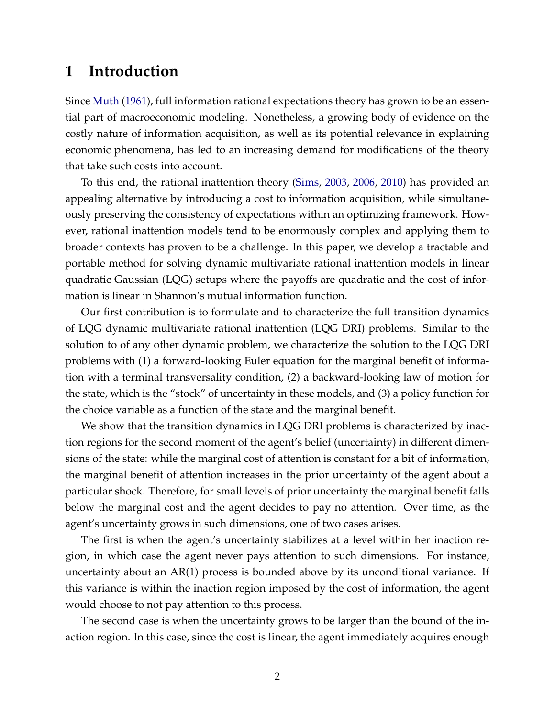# **1 Introduction**

Since [Muth](#page-23-0) [\(1961\)](#page-23-0), full information rational expectations theory has grown to be an essential part of macroeconomic modeling. Nonetheless, a growing body of evidence on the costly nature of information acquisition, as well as its potential relevance in explaining economic phenomena, has led to an increasing demand for modifications of the theory that take such costs into account.

To this end, the rational inattention theory [\(Sims,](#page-23-1) [2003,](#page-23-1) [2006,](#page-23-2) [2010\)](#page-23-3) has provided an appealing alternative by introducing a cost to information acquisition, while simultaneously preserving the consistency of expectations within an optimizing framework. However, rational inattention models tend to be enormously complex and applying them to broader contexts has proven to be a challenge. In this paper, we develop a tractable and portable method for solving dynamic multivariate rational inattention models in linear quadratic Gaussian (LQG) setups where the payoffs are quadratic and the cost of information is linear in Shannon's mutual information function.

Our first contribution is to formulate and to characterize the full transition dynamics of LQG dynamic multivariate rational inattention (LQG DRI) problems. Similar to the solution to of any other dynamic problem, we characterize the solution to the LQG DRI problems with (1) a forward-looking Euler equation for the marginal benefit of information with a terminal transversality condition, (2) a backward-looking law of motion for the state, which is the "stock" of uncertainty in these models, and (3) a policy function for the choice variable as a function of the state and the marginal benefit.

We show that the transition dynamics in LQG DRI problems is characterized by inaction regions for the second moment of the agent's belief (uncertainty) in different dimensions of the state: while the marginal cost of attention is constant for a bit of information, the marginal benefit of attention increases in the prior uncertainty of the agent about a particular shock. Therefore, for small levels of prior uncertainty the marginal benefit falls below the marginal cost and the agent decides to pay no attention. Over time, as the agent's uncertainty grows in such dimensions, one of two cases arises.

The first is when the agent's uncertainty stabilizes at a level within her inaction region, in which case the agent never pays attention to such dimensions. For instance, uncertainty about an AR(1) process is bounded above by its unconditional variance. If this variance is within the inaction region imposed by the cost of information, the agent would choose to not pay attention to this process.

The second case is when the uncertainty grows to be larger than the bound of the inaction region. In this case, since the cost is linear, the agent immediately acquires enough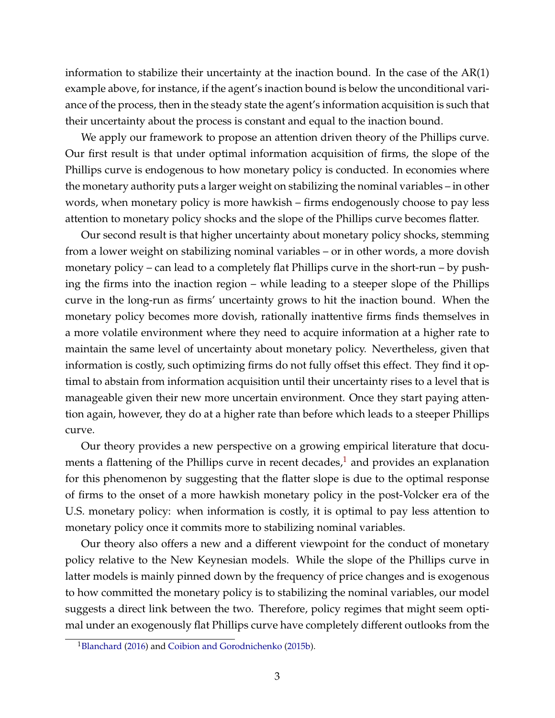information to stabilize their uncertainty at the inaction bound. In the case of the AR(1) example above, for instance, if the agent's inaction bound is below the unconditional variance of the process, then in the steady state the agent's information acquisition is such that their uncertainty about the process is constant and equal to the inaction bound.

We apply our framework to propose an attention driven theory of the Phillips curve. Our first result is that under optimal information acquisition of firms, the slope of the Phillips curve is endogenous to how monetary policy is conducted. In economies where the monetary authority puts a larger weight on stabilizing the nominal variables – in other words, when monetary policy is more hawkish – firms endogenously choose to pay less attention to monetary policy shocks and the slope of the Phillips curve becomes flatter.

Our second result is that higher uncertainty about monetary policy shocks, stemming from a lower weight on stabilizing nominal variables – or in other words, a more dovish monetary policy – can lead to a completely flat Phillips curve in the short-run – by pushing the firms into the inaction region – while leading to a steeper slope of the Phillips curve in the long-run as firms' uncertainty grows to hit the inaction bound. When the monetary policy becomes more dovish, rationally inattentive firms finds themselves in a more volatile environment where they need to acquire information at a higher rate to maintain the same level of uncertainty about monetary policy. Nevertheless, given that information is costly, such optimizing firms do not fully offset this effect. They find it optimal to abstain from information acquisition until their uncertainty rises to a level that is manageable given their new more uncertain environment. Once they start paying attention again, however, they do at a higher rate than before which leads to a steeper Phillips curve.

Our theory provides a new perspective on a growing empirical literature that documents a flattening of the Phillips curve in recent decades, $<sup>1</sup>$  $<sup>1</sup>$  $<sup>1</sup>$  and provides an explanation</sup> for this phenomenon by suggesting that the flatter slope is due to the optimal response of firms to the onset of a more hawkish monetary policy in the post-Volcker era of the U.S. monetary policy: when information is costly, it is optimal to pay less attention to monetary policy once it commits more to stabilizing nominal variables.

Our theory also offers a new and a different viewpoint for the conduct of monetary policy relative to the New Keynesian models. While the slope of the Phillips curve in latter models is mainly pinned down by the frequency of price changes and is exogenous to how committed the monetary policy is to stabilizing the nominal variables, our model suggests a direct link between the two. Therefore, policy regimes that might seem optimal under an exogenously flat Phillips curve have completely different outlooks from the

<span id="page-2-0"></span><sup>&</sup>lt;sup>1</sup>[Blanchard](#page-20-0) [\(2016\)](#page-20-0) and [Coibion and Gorodnichenko](#page-21-0) [\(2015b\)](#page-21-0).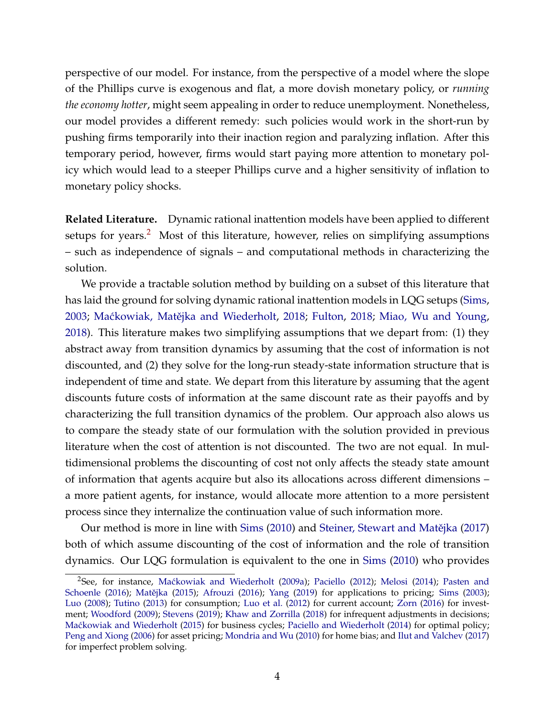perspective of our model. For instance, from the perspective of a model where the slope of the Phillips curve is exogenous and flat, a more dovish monetary policy, or *running the economy hotter*, might seem appealing in order to reduce unemployment. Nonetheless, our model provides a different remedy: such policies would work in the short-run by pushing firms temporarily into their inaction region and paralyzing inflation. After this temporary period, however, firms would start paying more attention to monetary policy which would lead to a steeper Phillips curve and a higher sensitivity of inflation to monetary policy shocks.

**Related Literature.** Dynamic rational inattention models have been applied to different setups for years.<sup>[2](#page-3-0)</sup> Most of this literature, however, relies on simplifying assumptions – such as independence of signals – and computational methods in characterizing the solution.

We provide a tractable solution method by building on a subset of this literature that has laid the ground for solving dynamic rational inattention models in LQG setups [\(Sims,](#page-23-1) [2003;](#page-23-1) Maćkowiak, Matějka and Wiederholt, [2018;](#page-21-1) [Fulton,](#page-21-1) 2018; [Miao, Wu and Young,](#page-22-1) [2018\)](#page-22-1). This literature makes two simplifying assumptions that we depart from: (1) they abstract away from transition dynamics by assuming that the cost of information is not discounted, and (2) they solve for the long-run steady-state information structure that is independent of time and state. We depart from this literature by assuming that the agent discounts future costs of information at the same discount rate as their payoffs and by characterizing the full transition dynamics of the problem. Our approach also alows us to compare the steady state of our formulation with the solution provided in previous literature when the cost of attention is not discounted. The two are not equal. In multidimensional problems the discounting of cost not only affects the steady state amount of information that agents acquire but also its allocations across different dimensions – a more patient agents, for instance, would allocate more attention to a more persistent process since they internalize the continuation value of such information more.

Our method is more in line with [Sims](#page-23-3) [\(2010\)](#page-23-3) and Steiner, Stewart and Matějka [\(2017\)](#page-24-0) both of which assume discounting of the cost of information and the role of transition dynamics. Our LQG formulation is equivalent to the one in [Sims](#page-23-3) [\(2010\)](#page-23-3) who provides

<span id="page-3-0"></span><sup>&</sup>lt;sup>2</sup>See, for instance, Maćkowiak and Wiederholt [\(2009a\)](#page-22-2); [Paciello](#page-23-4) [\(2012\)](#page-23-4); [Melosi](#page-22-3) [\(2014\)](#page-22-3); [Pasten and](#page-23-5) [Schoenle](#page-23-5) [\(2016\)](#page-20-1); Matějka [\(2015\)](#page-22-4); [Afrouzi](#page-20-1) (2016); [Yang](#page-24-1) [\(2019\)](#page-24-1) for applications to pricing; [Sims](#page-23-1) [\(2003\)](#page-23-1); [Luo](#page-22-5) [\(2008\)](#page-22-5); [Tutino](#page-24-2) [\(2013\)](#page-24-2) for consumption; [Luo et al.](#page-22-6) [\(2012\)](#page-22-6) for current account; [Zorn](#page-24-3) [\(2016\)](#page-24-3) for investment; [Woodford](#page-24-4) [\(2009\)](#page-24-4); [Stevens](#page-24-5) [\(2019\)](#page-24-5); [Khaw and Zorrilla](#page-21-2) [\(2018\)](#page-21-2) for infrequent adjustments in decisions; Maćkowiak and Wiederholt [\(2015\)](#page-22-7) for business cycles; [Paciello and Wiederholt](#page-23-6) [\(2014\)](#page-23-6) for optimal policy; [Peng and Xiong](#page-23-7) [\(2006\)](#page-23-7) for asset pricing; [Mondria and Wu](#page-22-8) [\(2010\)](#page-22-8) for home bias; and [Ilut and Valchev](#page-21-3) [\(2017\)](#page-21-3) for imperfect problem solving.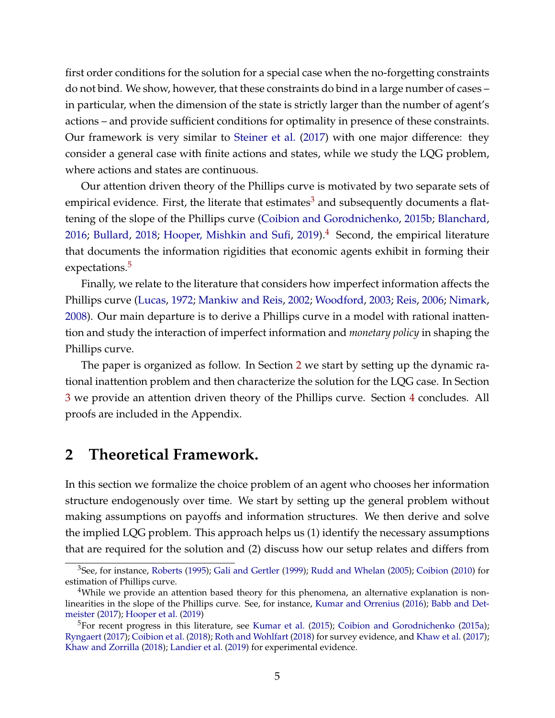first order conditions for the solution for a special case when the no-forgetting constraints do not bind. We show, however, that these constraints do bind in a large number of cases – in particular, when the dimension of the state is strictly larger than the number of agent's actions – and provide sufficient conditions for optimality in presence of these constraints. Our framework is very similar to [Steiner et al.](#page-24-0) [\(2017\)](#page-24-0) with one major difference: they consider a general case with finite actions and states, while we study the LQG problem, where actions and states are continuous.

Our attention driven theory of the Phillips curve is motivated by two separate sets of empirical evidence. First, the literate that estimates<sup>[3](#page-4-0)</sup> and subsequently documents a flattening of the slope of the Phillips curve [\(Coibion and Gorodnichenko,](#page-21-0) [2015b;](#page-21-0) [Blanchard,](#page-20-0) [2016;](#page-20-0) [Bullard,](#page-20-2) [2018;](#page-20-2) [Hooper, Mishkin and Sufi,](#page-21-4) [2019\)](#page-21-4). $4$  Second, the empirical literature that documents the information rigidities that economic agents exhibit in forming their expectations.<sup>[5](#page-4-2)</sup>

Finally, we relate to the literature that considers how imperfect information affects the Phillips curve [\(Lucas,](#page-22-9) [1972;](#page-22-9) [Mankiw and Reis,](#page-22-10) [2002;](#page-22-10) [Woodford,](#page-24-6) [2003;](#page-24-6) [Reis,](#page-23-8) [2006;](#page-23-8) [Nimark,](#page-23-9) [2008\)](#page-23-9). Our main departure is to derive a Phillips curve in a model with rational inattention and study the interaction of imperfect information and *monetary policy* in shaping the Phillips curve.

The paper is organized as follow. In Section [2](#page-4-3) we start by setting up the dynamic rational inattention problem and then characterize the solution for the LQG case. In Section [3](#page-11-0) we provide an attention driven theory of the Phillips curve. Section [4](#page-20-3) concludes. All proofs are included in the Appendix.

# <span id="page-4-3"></span>**2 Theoretical Framework.**

In this section we formalize the choice problem of an agent who chooses her information structure endogenously over time. We start by setting up the general problem without making assumptions on payoffs and information structures. We then derive and solve the implied LQG problem. This approach helps us (1) identify the necessary assumptions that are required for the solution and (2) discuss how our setup relates and differs from

<span id="page-4-0"></span><sup>3</sup>See, for instance, [Roberts](#page-23-10) [\(1995\)](#page-23-10); [Gali and Gertler](#page-21-5) [\(1999\)](#page-21-5); [Rudd and Whelan](#page-23-11) [\(2005\)](#page-23-11); [Coibion](#page-20-4) [\(2010\)](#page-20-4) for estimation of Phillips curve.

<span id="page-4-1"></span><sup>&</sup>lt;sup>4</sup>While we provide an attention based theory for this phenomena, an alternative explanation is nonlinearities in the slope of the Phillips curve. See, for instance, [Kumar and Orrenius](#page-22-11) [\(2016\)](#page-22-11); [Babb and Det](#page-20-5)[meister](#page-20-5) [\(2017\)](#page-20-5); [Hooper et al.](#page-21-4) [\(2019\)](#page-21-4)

<span id="page-4-2"></span><sup>&</sup>lt;sup>5</sup>For recent progress in this literature, see [Kumar et al.](#page-22-12) [\(2015\)](#page-22-12); [Coibion and Gorodnichenko](#page-21-6) [\(2015a\)](#page-21-6); [Ryngaert](#page-23-12) [\(2017\)](#page-23-12); [Coibion et al.](#page-21-7) [\(2018\)](#page-21-7); [Roth and Wohlfart](#page-23-13) [\(2018\)](#page-23-13) for survey evidence, and [Khaw et al.](#page-21-8) [\(2017\)](#page-21-8); [Khaw and Zorrilla](#page-21-2) [\(2018\)](#page-21-2); [Landier et al.](#page-22-13) [\(2019\)](#page-22-13) for experimental evidence.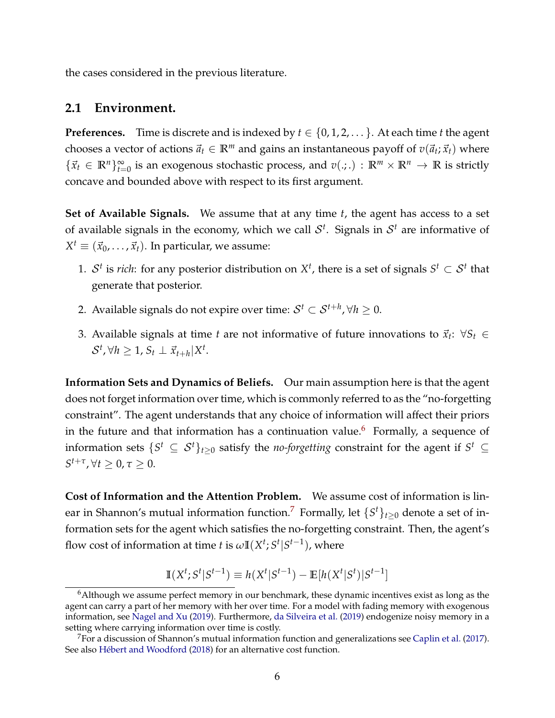the cases considered in the previous literature.

## **2.1 Environment.**

**Preferences.** Time is discrete and is indexed by  $t \in \{0, 1, 2, \ldots\}$ . At each time *t* the agent chooses a vector of actions  $\vec{a}_t \in \mathbb{R}^m$  and gains an instantaneous payoff of  $v(\vec{a}_t; \vec{x}_t)$  where  $\{\vec{x}_t \in \mathbb{R}^n\}_{t=0}^\infty$  is an exogenous stochastic process, and  $v(.): \mathbb{R}^m \times \mathbb{R}^n \to \mathbb{R}$  is strictly concave and bounded above with respect to its first argument.

**Set of Available Signals.** We assume that at any time *t*, the agent has access to a set of available signals in the economy, which we call  $\mathcal{S}^t$ . Signals in  $\mathcal{S}^t$  are informative of  $X^t \equiv (\vec{x}_0, \ldots, \vec{x}_t).$  In particular, we assume:

- 1.  $S^t$  is *rich*: for any posterior distribution on  $X^t$ , there is a set of signals  $S^t \subset S^t$  that generate that posterior.
- 2. Available signals do not expire over time:  $\mathcal{S}^t \subset \mathcal{S}^{t+h}$ ,  $\forall h \geq 0.$
- 3. Available signals at time *t* are not informative of future innovations to  $\vec{x}_t$ :  $\forall S_t \in$  $\mathcal{S}^t$ ,  $\forall h \geq 1$ ,  $S_t \perp \vec{x}_{t+h} | X^t$ .

**Information Sets and Dynamics of Beliefs.** Our main assumption here is that the agent does not forget information over time, which is commonly referred to as the "no-forgetting constraint". The agent understands that any choice of information will affect their priors in the future and that information has a continuation value.<sup>[6](#page-5-0)</sup> Formally, a sequence of information sets  $\{S^t \subseteq \mathcal{S}^t\}_{t\geq 0}$  satisfy the *no-forgetting* constraint for the agent if  $S^t \subseteq$  $S^{t+\tau}$ ,  $\forall t \geq 0$ ,  $\tau \geq 0$ .

**Cost of Information and the Attention Problem.** We assume cost of information is lin-ear in Shannon's mutual information function.<sup>[7](#page-5-1)</sup> Formally, let  $\{S^t\}_{t\geq 0}$  denote a set of information sets for the agent which satisfies the no-forgetting constraint. Then, the agent's flow cost of information at time  $t$  is  $\omega \mathbb{I}(X^t; S^t | S^{t-1})$ , where

$$
\mathbb{I}(X^{t}; S^{t} | S^{t-1}) \equiv h(X^{t} | S^{t-1}) - \mathbb{E}[h(X^{t} | S^{t}) | S^{t-1}]
$$

<span id="page-5-0"></span><sup>6</sup>Although we assume perfect memory in our benchmark, these dynamic incentives exist as long as the agent can carry a part of her memory with her over time. For a model with fading memory with exogenous information, see [Nagel and Xu](#page-23-14) [\(2019\)](#page-23-14). Furthermore, [da Silveira et al.](#page-21-9) [\(2019\)](#page-21-9) endogenize noisy memory in a setting where carrying information over time is costly.

<span id="page-5-1"></span> $7$ For a discussion of Shannon's mutual information function and generalizations see [Caplin et al.](#page-20-6) [\(2017\)](#page-20-6). See also [Hébert and Woodford](#page-21-10) [\(2018\)](#page-21-10) for an alternative cost function.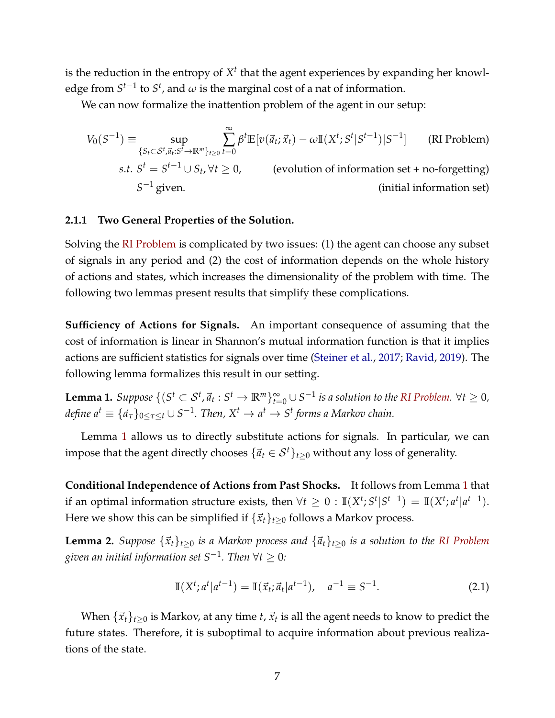is the reduction in the entropy of  $X<sup>t</sup>$  that the agent experiences by expanding her knowledge from  $S^{t-1}$  to  $S^t$ , and  $\omega$  is the marginal cost of a nat of information.

We can now formalize the inattention problem of the agent in our setup:

<span id="page-6-0"></span>
$$
V_0(S^{-1}) \equiv \sup_{\{S_t \subset S^t, \vec{a}_t : S^t \to \mathbb{R}^m\}_{t \ge 0}} \sum_{t=0}^{\infty} \beta^t \mathbb{E}[v(\vec{a}_t; \vec{x}_t) - \omega \mathbb{I}(X^t; S^t | S^{t-1}) | S^{-1}] \qquad \text{(RI Problem)}
$$
\n
$$
s.t. S^t = S^{t-1} \cup S_t, \forall t \ge 0, \qquad \text{(evolution of information set + no-forgetting)}
$$
\n
$$
S^{-1} \text{ given.} \qquad \text{(initial information set)}
$$

#### **2.1.1 Two General Properties of the Solution.**

Solving the [RI Problem](#page-6-0) is complicated by two issues: (1) the agent can choose any subset of signals in any period and (2) the cost of information depends on the whole history of actions and states, which increases the dimensionality of the problem with time. The following two lemmas present results that simplify these complications.

**Sufficiency of Actions for Signals.** An important consequence of assuming that the cost of information is linear in Shannon's mutual information function is that it implies actions are sufficient statistics for signals over time [\(Steiner et al.,](#page-24-0) [2017;](#page-24-0) [Ravid,](#page-23-15) [2019\)](#page-23-15). The following lemma formalizes this result in our setting.

<span id="page-6-1"></span>**Lemma 1.** Suppose  $\{(S^t \subset S^t, \vec{a}_t: S^t \to \mathbb{R}^m\}_{t=0}^{\infty} \cup S^{-1}$  is a solution to the [RI Problem.](#page-6-0) ∀ $t ≥ 0$ ,  $define\ a^t\equiv \{\vec{a}_\tau\}_{0\leq \tau\leq t}\cup S^{-1}.$  Then,  $X^t\rightarrow a^t\rightarrow S^t$  forms a Markov chain.

Lemma [1](#page-6-1) allows us to directly substitute actions for signals. In particular, we can impose that the agent directly chooses  $\{\vec{a}_t \in S^t\}_{t>0}$  without any loss of generality.

**Conditional Independence of Actions from Past Shocks.** It follows from Lemma [1](#page-6-1) that if an optimal information structure exists, then  $\forall t \geq 0 : \mathbb{I}(X^t; S^t | S^{t-1}) = \mathbb{I}(X^t; a^t | a^{t-1}).$ Here we show this can be simplified if  $\{\vec{x}_t\}_{t>0}$  follows a Markov process.

<span id="page-6-2"></span>**Lemma 2.** *Suppose*  $\{\vec{x}_t\}_{t\geq 0}$  *is a Markov process and*  $\{\vec{a}_t\}_{t\geq 0}$  *is a solution to the [RI Problem](#page-6-0) given an initial information set S*−<sup>1</sup> *. Then* ∀*t* ≥ 0*:*

$$
\mathbb{I}(X^t; a^t | a^{t-1}) = \mathbb{I}(\vec{x}_t; \vec{a}_t | a^{t-1}), \quad a^{-1} \equiv S^{-1}.
$$
 (2.1)

When  $\{\vec{x}_t\}_{t\geq 0}$  is Markov, at any time  $t$ ,  $\vec{x}_t$  is all the agent needs to know to predict the future states. Therefore, it is suboptimal to acquire information about previous realizations of the state.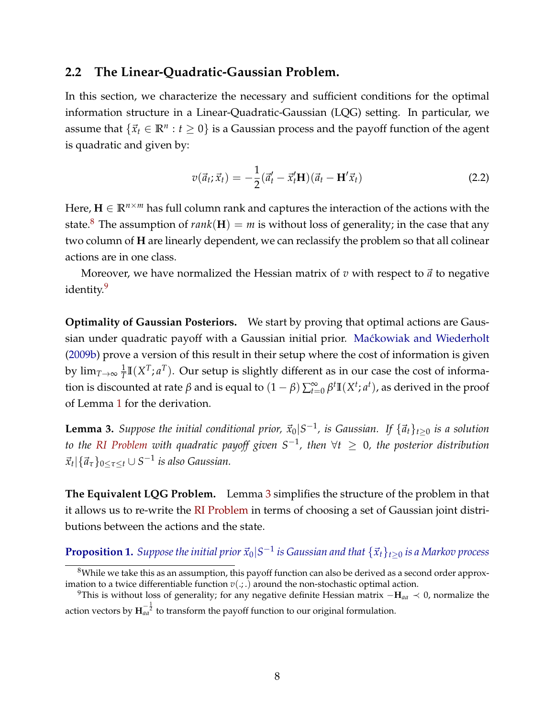## **2.2 The Linear-Quadratic-Gaussian Problem.**

In this section, we characterize the necessary and sufficient conditions for the optimal information structure in a Linear-Quadratic-Gaussian (LQG) setting. In particular, we assume that  $\{\vec{x}_t \in \mathbb{R}^n : t \geq 0\}$  is a Gaussian process and the payoff function of the agent is quadratic and given by:

$$
v(\vec{a}_t; \vec{x}_t) = -\frac{1}{2}(\vec{a}'_t - \vec{x}'_t \mathbf{H})(\vec{a}_t - \mathbf{H}'\vec{x}_t)
$$
\n(2.2)

Here,  $\mathbf{H} \in \mathbb{R}^{n \times m}$  has full column rank and captures the interaction of the actions with the state.<sup>[8](#page-7-0)</sup> The assumption of  $rank(H) = m$  is without loss of generality; in the case that any two column of **H** are linearly dependent, we can reclassify the problem so that all colinear actions are in one class.

Moreover, we have normalized the Hessian matrix of  $v$  with respect to  $\vec{a}$  to negative identity.<sup>[9](#page-7-1)</sup>

**Optimality of Gaussian Posteriors.** We start by proving that optimal actions are Gaussian under quadratic payoff with a Gaussian initial prior. Maćkowiak and Wiederholt [\(2009b\)](#page-22-14) prove a version of this result in their setup where the cost of information is given by  $\lim_{T \rightarrow \infty} \frac{1}{T}$  $\frac{1}{T}\mathbb{I}(X^T; a^T)$ . Our setup is slightly different as in our case the cost of information is discounted at rate  $\beta$  and is equal to  $(1-\beta)\sum_{t=0}^{\infty}\beta^t\mathbb{I}(X^t; a^t)$ , as derived in the proof of Lemma [1](#page-6-1) for the derivation.

<span id="page-7-2"></span>**Lemma 3.** Suppose the initial conditional prior,  $\vec{x}_0$ |S<sup>-1</sup>, is Gaussian. If  $\{\vec{a}_t\}_{t\geq0}$  is a solution *to the [RI Problem](#page-6-0) with quadratic payoff given S*−<sup>1</sup> *, then* ∀*t* ≥ 0*, the posterior distribution*  $\vec{x}_t | {\vec{a}_\tau}_{0 \leq \tau \leq t} \cup S^{-1}$  *is also Gaussian.* 

**The Equivalent LQG Problem.** Lemma [3](#page-7-2) simplifies the structure of the problem in that it allows us to re-write the [RI Problem](#page-6-0) in terms of choosing a set of Gaussian joint distributions between the actions and the state.

## <span id="page-7-3"></span> ${\bf Proposition 1.}$  *Suppose the initial prior*  $\vec{x}_0|S^{-1}$  *is Gaussian and that*  $\{\vec{x}_t\}_{t\geq 0}$  *is a Markov process*

<span id="page-7-0"></span><sup>&</sup>lt;sup>8</sup>While we take this as an assumption, this payoff function can also be derived as a second order approximation to a twice differentiable function  $v(.,.)$  around the non-stochastic optimal action.

<span id="page-7-1"></span><sup>9</sup>This is without loss of generality; for any negative definite Hessian matrix −**H***aa* ≺ 0, normalize the action vectors by  $\mathbf{H}^{-\frac{1}{2}}_{aa}$  to transform the payoff function to our original formulation.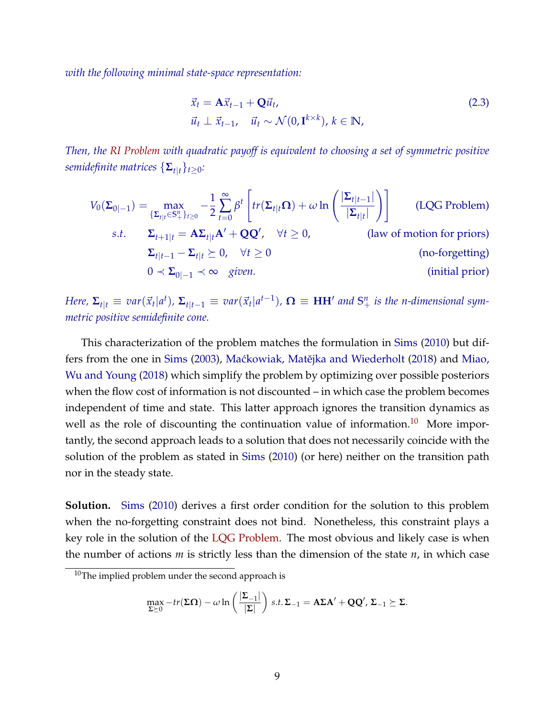*with the following minimal state-space representation:*

<span id="page-8-1"></span>
$$
\vec{x}_t = \mathbf{A}\vec{x}_{t-1} + \mathbf{Q}\vec{u}_t, \n\vec{u}_t \perp \vec{x}_{t-1}, \quad \vec{u}_t \sim \mathcal{N}(0, \mathbf{I}^{k \times k}), k \in \mathbb{N},
$$
\n(2.3)

*Then, the [RI Problem](#page-6-0) with quadratic payoff is equivalent to choosing a set of symmetric positive semidefinite matrices*  $\{\mathbf{\Sigma}_{t|t}\}_{t>0}$ :

$$
V_0(\Sigma_{0|-1}) = \max_{\{\Sigma_{t|t} \in S_+^n\}_{t\geq 0}} -\frac{1}{2} \sum_{t=0}^{\infty} \beta^t \left[ tr(\Sigma_{t|t} \Omega) + \omega \ln \left( \frac{|\Sigma_{t|t-1}|}{|\Sigma_{t|t}|} \right) \right]
$$
 (LQG Problem)  
s.t.  $\Sigma_{t+1|t} = A\Sigma_{t|t}A' + QQ', \quad \forall t \geq 0,$  (law of motion for priors)  
 $\Sigma_{t|t-1} - \Sigma_{t|t} \succeq 0, \quad \forall t \geq 0$   
 $0 \prec \Sigma_{0|-1} \prec \infty$  given. (initial prior)

Here,  $\Sigma_{t|t} \equiv var(\vec{x}_t|a^t)$ ,  $\Sigma_{t|t-1} \equiv var(\vec{x}_t|a^{t-1})$ ,  $\mathbf{\Omega} \equiv \mathbf{HH}'$  and  $\mathbf{S}^n_+$  is the n-dimensional sym*metric positive semidefinite cone.*

This characterization of the problem matches the formulation in [Sims](#page-23-3) [\(2010\)](#page-23-3) but dif-fers from the one in [Sims](#page-23-1) [\(2003\)](#page-23-1), Maćkowiak, Matějka and Wiederholt [\(2018\)](#page-22-0) and [Miao,](#page-22-1) [Wu and Young](#page-22-1) [\(2018\)](#page-22-1) which simplify the problem by optimizing over possible posteriors when the flow cost of information is not discounted – in which case the problem becomes independent of time and state. This latter approach ignores the transition dynamics as well as the role of discounting the continuation value of information.<sup>[10](#page-8-0)</sup> More importantly, the second approach leads to a solution that does not necessarily coincide with the solution of the problem as stated in [Sims](#page-23-3) [\(2010\)](#page-23-3) (or here) neither on the transition path nor in the steady state.

**Solution.** [Sims](#page-23-3) [\(2010\)](#page-23-3) derives a first order condition for the solution to this problem when the no-forgetting constraint does not bind. Nonetheless, this constraint plays a key role in the solution of the [LQG Problem.](#page-8-1) The most obvious and likely case is when the number of actions *m* is strictly less than the dimension of the state *n*, in which case

$$
\max_{\Sigma \succeq 0} -tr(\Sigma \Omega) - \omega \ln \left( \frac{|\Sigma_{-1}|}{|\Sigma|} \right) \, s.t. \, \Sigma_{-1} = A \Sigma A' + QQ', \, \Sigma_{-1} \succeq \Sigma.
$$

<span id="page-8-0"></span> $10$ The implied problem under the second approach is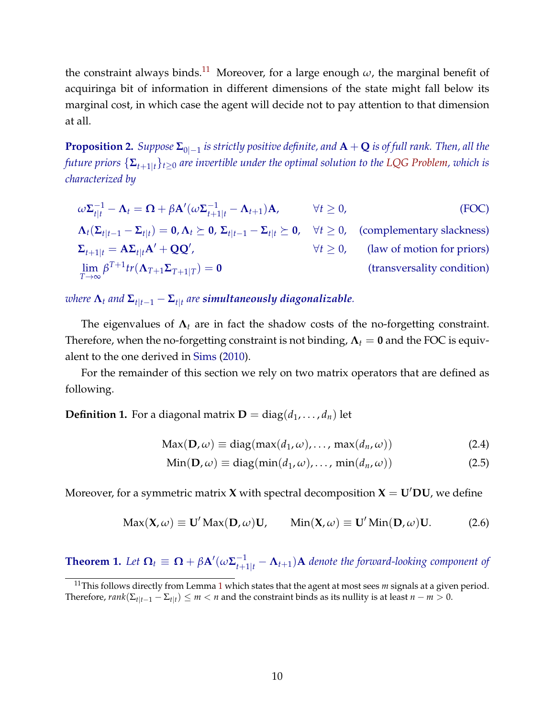the constraint always binds.<sup>[11](#page-9-0)</sup> Moreover, for a large enough  $\omega$ , the marginal benefit of acquiringa bit of information in different dimensions of the state might fall below its marginal cost, in which case the agent will decide not to pay attention to that dimension at all.

<span id="page-9-1"></span>**Proposition 2.** *Suppose* **Σ**0|−<sup>1</sup> *is strictly positive definite, and* **A** + **Q** *is of full rank. Then, all the future priors*  $\{\mathbf{\Sigma}_{t+1|t}\}_{t\geq0}$  *are invertible under the optimal solution to the [LQG Problem,](#page-8-1) which is characterized by*

$$
\omega \Sigma_{t|t}^{-1} - \Lambda_t = \Omega + \beta \mathbf{A}'(\omega \Sigma_{t+1|t}^{-1} - \Lambda_{t+1}) \mathbf{A}, \qquad \forall t \ge 0,
$$
 (FOC)  
\n
$$
\Lambda_t(\Sigma_{t|t-1} - \Sigma_{t|t}) = \mathbf{0}, \Lambda_t \succeq \mathbf{0}, \Sigma_{t|t-1} - \Sigma_{t|t} \succeq \mathbf{0}, \quad \forall t \ge 0, \qquad \text{(complementary slackness)}
$$
\n
$$
\Sigma_{t+1|t} = \mathbf{A} \Sigma_{t|t} \mathbf{A}' + \mathbf{Q} \mathbf{Q}', \qquad \forall t \ge 0, \qquad \text{(law of motion for priors)}
$$
\n
$$
\lim_{T \to \infty} \beta^{T+1} tr(\Lambda_{T+1} \Sigma_{T+1|T}) = \mathbf{0} \qquad \qquad \text{(transversality condition)}
$$

 $\bm{x}$  *where*  $\bm{\Lambda}_t$  *and*  $\bm{\Sigma}_{t|t-1} - \bm{\Sigma}_{t|t}$  are simultaneously diagonalizable.

The eigenvalues of  $\Lambda_t$  are in fact the shadow costs of the no-forgetting constraint. Therefore, when the no-forgetting constraint is not binding,  $\Lambda_t = 0$  and the FOC is equivalent to the one derived in [Sims](#page-23-3) [\(2010\)](#page-23-3).

For the remainder of this section we rely on two matrix operators that are defined as following.

**Definition 1.** For a diagonal matrix  $\mathbf{D} = \text{diag}(d_1, \ldots, d_n)$  let

<span id="page-9-3"></span><span id="page-9-2"></span>
$$
Max(D, \omega) \equiv diag(max(d_1, \omega), ..., max(d_n, \omega))
$$
\n(2.4)

$$
Min(D, \omega) \equiv diag(min(d_1, \omega), ..., min(d_n, \omega))
$$
\n(2.5)

Moreover, for a symmetric matrix **X** with spectral decomposition  $X = U'DU$ , we define

$$
Max(X, \omega) \equiv U' Max(D, \omega)U, \qquad Min(X, \omega) \equiv U' Min(D, \omega)U. \tag{2.6}
$$

<span id="page-9-4"></span>**Theorem 1.** Let  $\mathbf{\Omega}_t \equiv \mathbf{\Omega} + \beta \mathbf{A}'(\omega \Sigma_{t+1|t}^{-1} - \mathbf{\Lambda}_{t+1})\mathbf{A}$  denote the forward-looking component of

<span id="page-9-0"></span><sup>&</sup>lt;sup>[1](#page-6-1)1</sup>This follows directly from Lemma 1 which states that the agent at most sees *m* signals at a given period. Therefore,  $rank(\Sigma_{t|t-1} - \Sigma_{t|t}) \leq m < n$  and the constraint binds as its nullity is at least  $n - m > 0$ .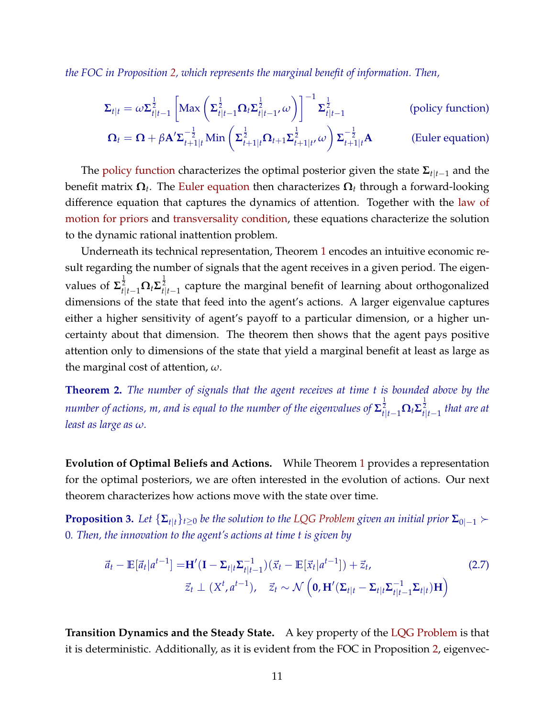*the FOC in Proposition [2,](#page-9-1) which represents the marginal benefit of information. Then,*

<span id="page-10-1"></span><span id="page-10-0"></span>
$$
\Sigma_{t|t} = \omega \Sigma_{t|t-1}^{\frac{1}{2}} \left[ \text{Max} \left( \Sigma_{t|t-1}^{\frac{1}{2}} \Omega_t \Sigma_{t|t-1}^{\frac{1}{2}}, \omega \right) \right]^{-1} \Sigma_{t|t-1}^{\frac{1}{2}} \qquad \text{(policy function)}
$$
\n
$$
\Omega_t = \Omega + \beta \mathbf{A}' \Sigma_{t+1|t}^{-\frac{1}{2}} \text{Min} \left( \Sigma_{t+1|t}^{\frac{1}{2}} \Omega_{t+1} \Sigma_{t+1|t}^{\frac{1}{2}} \omega \right) \Sigma_{t+1|t}^{-\frac{1}{2}} \mathbf{A} \qquad \text{(Euler equation)}
$$

The [policy function](#page-10-0) characterizes the optimal posterior given the state **Σ***t*|*t*−<sup>1</sup> and the benefit matrix **Ω***<sup>t</sup>* . The [Euler equation](#page-10-1) then characterizes **Ω***<sup>t</sup>* through a forward-looking difference equation that captures the dynamics of attention. Together with the [law of](#page-9-2) [motion for priors](#page-9-2) and [transversality condition,](#page-9-3) these equations characterize the solution to the dynamic rational inattention problem.

Underneath its technical representation, Theorem [1](#page-9-4) encodes an intuitive economic result regarding the number of signals that the agent receives in a given period. The eigenvalues of  $\mathbf{\Sigma}_{t|t-1}^{\frac{1}{2}}\mathbf{\Omega}_t\mathbf{\Sigma}_{t|t-1}^{\frac{1}{2}}$  capture the marginal benefit of learning about orthogonalized dimensions of the state that feed into the agent's actions. A larger eigenvalue captures either a higher sensitivity of agent's payoff to a particular dimension, or a higher uncertainty about that dimension. The theorem then shows that the agent pays positive attention only to dimensions of the state that yield a marginal benefit at least as large as the marginal cost of attention, *ω*.

<span id="page-10-2"></span>**Theorem 2.** *The number of signals that the agent receives at time t is bounded above by the*  $n$ umber of actions,  $m$ , and is equal to the number of the eigenvalues of  $\mathbf{\Sigma}_{t|t-1}^{\frac{1}{2}}\mathbf{\Omega}_t\mathbf{\Sigma}_{t|t-1}^{\frac{1}{2}}$  that are at *least as large as ω.*

**Evolution of Optimal Beliefs and Actions.** While Theorem [1](#page-9-4) provides a representation for the optimal posteriors, we are often interested in the evolution of actions. Our next theorem characterizes how actions move with the state over time.

<span id="page-10-3"></span>**Proposition 3.** *Let*  $\{\Sigma_{t|t}\}_{t\geq0}$  *be the solution to the [LQG Problem](#page-8-1) given an initial prior*  $\Sigma_{0|-1}$   $\succ$ 0*. Then, the innovation to the agent's actions at time t is given by*

$$
\vec{a}_t - \mathbb{E}[\vec{a}_t|a^{t-1}] = \mathbf{H}'(\mathbf{I} - \Sigma_{t|t}\Sigma_{t|t-1}^{-1})(\vec{x}_t - \mathbb{E}[\vec{x}_t|a^{t-1}]) + \vec{z}_t, \tag{2.7}
$$
\n
$$
\vec{z}_t \perp (X^t, a^{t-1}), \quad \vec{z}_t \sim \mathcal{N}\left(\mathbf{0}, \mathbf{H}'(\Sigma_{t|t} - \Sigma_{t|t}\Sigma_{t|t-1}^{-1}\Sigma_{t|t})\mathbf{H}\right)
$$

**Transition Dynamics and the Steady State.** A key property of the [LQG Problem](#page-8-1) is that it is deterministic. Additionally, as it is evident from the FOC in Proposition [2,](#page-9-1) eigenvec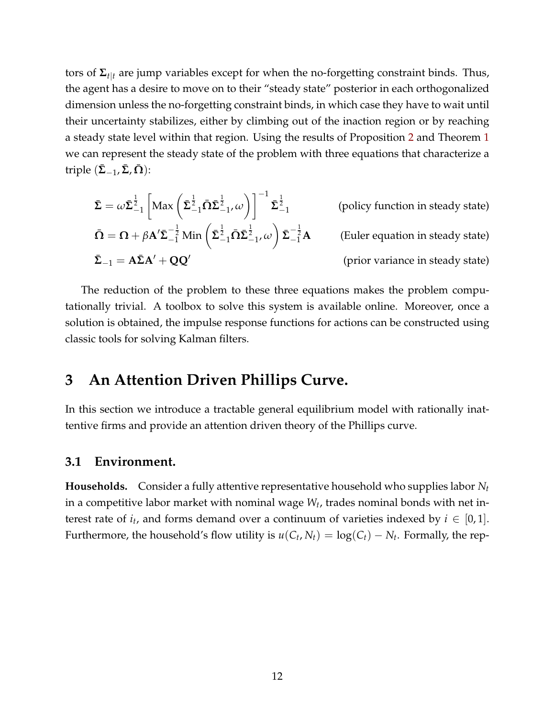tors of **Σ***t*|*<sup>t</sup>* are jump variables except for when the no-forgetting constraint binds. Thus, the agent has a desire to move on to their "steady state" posterior in each orthogonalized dimension unless the no-forgetting constraint binds, in which case they have to wait until their uncertainty stabilizes, either by climbing out of the inaction region or by reaching a steady state level within that region. Using the results of Proposition [2](#page-9-1) and Theorem [1](#page-9-4) we can represent the steady state of the problem with three equations that characterize a  $\text{triple}$   $(\bar{\Sigma}_{-1}, \bar{\Sigma}, \Omega)$ :

$$
\bar{\Sigma} = \omega \bar{\Sigma}_{-1}^{\frac{1}{2}} \left[ \text{Max} \left( \bar{\Sigma}_{-1}^{\frac{1}{2}} \bar{\Omega} \bar{\Sigma}_{-1}^{\frac{1}{2}}, \omega \right) \right]^{-1} \bar{\Sigma}_{-1}^{\frac{1}{2}}
$$
\n(policy function in steady state)

\n
$$
\bar{\Omega} = \Omega + \beta A' \bar{\Sigma}_{-1}^{-\frac{1}{2}} \text{Min} \left( \bar{\Sigma}_{-1}^{\frac{1}{2}} \bar{\Omega} \bar{\Sigma}_{-1}^{\frac{1}{2}}, \omega \right) \bar{\Sigma}_{-1}^{-\frac{1}{2}} A
$$
\n(Euler equation in steady state)

\n
$$
\bar{\Sigma}_{-1} = A \bar{\Sigma} A' + Q Q'
$$
\n(prior variance in steady state)

The reduction of the problem to these three equations makes the problem computationally trivial. A toolbox to solve this system is available online. Moreover, once a solution is obtained, the impulse response functions for actions can be constructed using classic tools for solving Kalman filters.

# <span id="page-11-0"></span>**3 An Attention Driven Phillips Curve.**

In this section we introduce a tractable general equilibrium model with rationally inattentive firms and provide an attention driven theory of the Phillips curve.

## **3.1 Environment.**

**Households.** Consider a fully attentive representative household who supplies labor *N<sup>t</sup>* in a competitive labor market with nominal wage *W<sup>t</sup>* , trades nominal bonds with net interest rate of  $i_t$ , and forms demand over a continuum of varieties indexed by  $i \in [0,1]$ . Furthermore, the household's flow utility is  $u(C_t, N_t) = \log(C_t) - N_t$ . Formally, the rep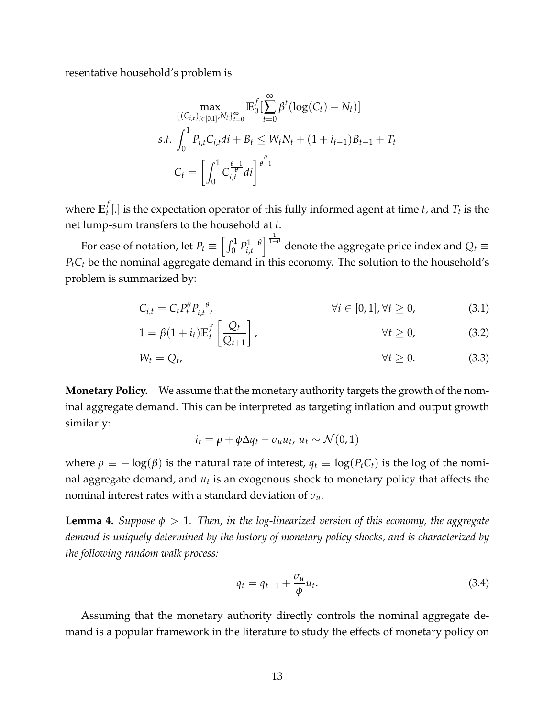resentative household's problem is

$$
\max_{\{(C_{i,t})_{i\in[0,1]},N_t\}_{t=0}^{\infty}} \mathbb{E}_{0}^{f} \left[\sum_{t=0}^{\infty} \beta^{t} (\log(C_{t}) - N_{t})\right]
$$
  
s.t. 
$$
\int_{0}^{1} P_{i,t} C_{i,t} dt + B_{t} \le W_{t} N_{t} + (1 + i_{t-1}) B_{t-1} + T_{t}
$$

$$
C_{t} = \left[\int_{0}^{1} C_{i,t}^{\frac{\theta-1}{\theta}} dt\right]^{\frac{\theta}{\theta-1}}
$$

where  $\mathbb{E}_t^f$  $T_t$ [.] is the expectation operator of this fully informed agent at time *t*, and  $T_t$  is the net lump-sum transfers to the household at *t*.

For ease of notation, let  $P_t \equiv \left[\int_0^1 P_{i,t}^{1-\theta} \right]$ *i*,*t*  $\int_0^{\frac{1}{1-\theta}}$  denote the aggregate price index and  $Q_t$  ≡  $P<sub>t</sub>C<sub>t</sub>$  be the nominal aggregate demand in this economy. The solution to the household's problem is summarized by:

$$
C_{i,t} = C_t P_t^{\theta} P_{i,t}^{-\theta}, \qquad \forall i \in [0,1], \forall t \ge 0,
$$
\n(3.1)

$$
1 = \beta(1 + i_t) \mathbb{E}_t^f \left[ \frac{Q_t}{Q_{t+1}} \right], \qquad \forall t \ge 0,
$$
\n(3.2)

$$
W_t = Q_t, \qquad \forall t \geq 0. \tag{3.3}
$$

**Monetary Policy.** We assume that the monetary authority targets the growth of the nominal aggregate demand. This can be interpreted as targeting inflation and output growth similarly:

$$
i_t = \rho + \phi \Delta q_t - \sigma_u u_t, \ u_t \sim \mathcal{N}(0, 1)
$$

where  $\rho \equiv -\log(\beta)$  is the natural rate of interest,  $q_t \equiv \log(P_t C_t)$  is the log of the nominal aggregate demand, and *u<sup>t</sup>* is an exogenous shock to monetary policy that affects the nominal interest rates with a standard deviation of *σu*.

<span id="page-12-0"></span>**Lemma 4.** *Suppose φ* > 1*. Then, in the log-linearized version of this economy, the aggregate demand is uniquely determined by the history of monetary policy shocks, and is characterized by the following random walk process:*

$$
q_t = q_{t-1} + \frac{\sigma_u}{\phi} u_t. \tag{3.4}
$$

Assuming that the monetary authority directly controls the nominal aggregate demand is a popular framework in the literature to study the effects of monetary policy on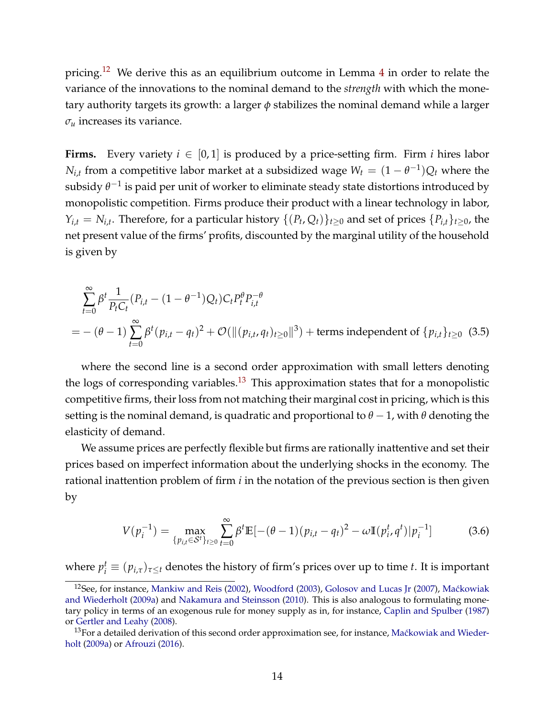pricing.[12](#page-13-0) We derive this as an equilibrium outcome in Lemma [4](#page-12-0) in order to relate the variance of the innovations to the nominal demand to the *strength* with which the monetary authority targets its growth: a larger *φ* stabilizes the nominal demand while a larger  $\sigma_u$  increases its variance.

**Firms.** Every variety  $i \in [0,1]$  is produced by a price-setting firm. Firm *i* hires labor  $N_{i,t}$  from a competitive labor market at a subsidized wage  $W_t = (1 - \theta^{-1})Q_t$  where the subsidy  $\theta^{-1}$  is paid per unit of worker to eliminate steady state distortions introduced by monopolistic competition. Firms produce their product with a linear technology in labor,  $Y_{i,t} = N_{i,t}$ . Therefore, for a particular history  $\{(P_t, Q_t)\}_{t\geq 0}$  and set of prices  $\{P_{i,t}\}_{t\geq 0}$ , the net present value of the firms' profits, discounted by the marginal utility of the household is given by

$$
\sum_{t=0}^{\infty} \beta^{t} \frac{1}{P_{t}C_{t}} (P_{i,t} - (1 - \theta^{-1})Q_{t})C_{t}P_{t}^{\theta} P_{i,t}^{-\theta}
$$
\n
$$
= -(\theta - 1) \sum_{t=0}^{\infty} \beta^{t} (p_{i,t} - q_{t})^{2} + \mathcal{O}(\|(p_{i,t}, q_{t})_{t \ge 0}\|^{3}) + \text{terms independent of } \{p_{i,t}\}_{t \ge 0} \tag{3.5}
$$

where the second line is a second order approximation with small letters denoting the logs of corresponding variables.<sup>[13](#page-13-1)</sup> This approximation states that for a monopolistic competitive firms, their loss from not matching their marginal cost in pricing, which is this setting is the nominal demand, is quadratic and proportional to  $\theta$  − 1, with  $\theta$  denoting the elasticity of demand.

We assume prices are perfectly flexible but firms are rationally inattentive and set their prices based on imperfect information about the underlying shocks in the economy. The rational inattention problem of firm *i* in the notation of the previous section is then given by

$$
V(p_i^{-1}) = \max_{\{p_{i,t} \in \mathcal{S}^t\}_{t \ge 0}} \sum_{t=0}^{\infty} \beta^t \mathbb{E}[-(\theta - 1)(p_{i,t} - q_t)^2 - \omega \mathbb{I}(p_i^t, q^t) | p_i^{-1}]
$$
(3.6)

where  $p_i^t \equiv (p_{i,\tau})_{\tau\leq t}$  denotes the history of firm's prices over up to time *t*. It is important

<span id="page-13-0"></span><sup>&</sup>lt;sup>12</sup>See, for instance, [Mankiw and Reis](#page-22-10) [\(2002\)](#page-22-10), [Woodford](#page-24-6) [\(2003\)](#page-24-6), [Golosov and Lucas Jr](#page-21-11) [\(2007\)](#page-21-11), Maćkowiak [and Wiederholt](#page-22-2) [\(2009a\)](#page-22-2) and [Nakamura and Steinsson](#page-23-16) [\(2010\)](#page-23-16). This is also analogous to formulating monetary policy in terms of an exogenous rule for money supply as in, for instance, [Caplin and Spulber](#page-20-7) [\(1987\)](#page-20-7) or [Gertler and Leahy](#page-21-12) [\(2008\)](#page-21-12).

<span id="page-13-1"></span><sup>&</sup>lt;sup>13</sup>For a detailed derivation of this second order approximation see, for instance, Maćkowiak and Wieder[holt](#page-22-2) [\(2009a\)](#page-22-2) or [Afrouzi](#page-20-1) [\(2016\)](#page-20-1).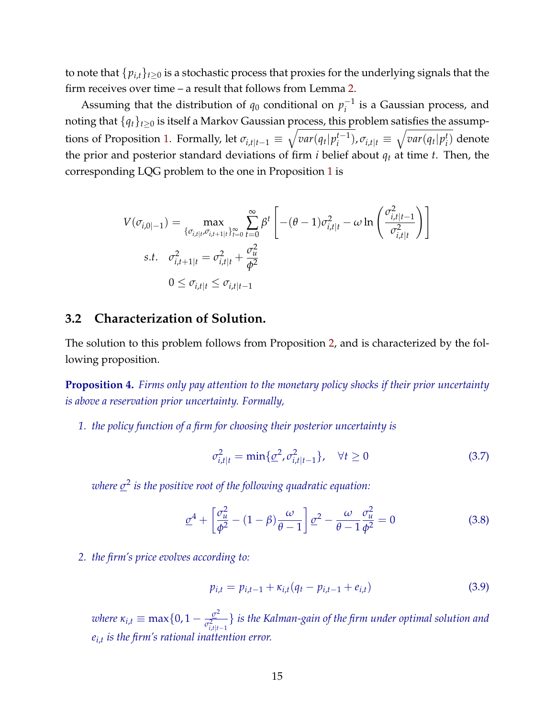to note that  $\{p_{i,t}\}_{t\geq 0}$  is a stochastic process that proxies for the underlying signals that the firm receives over time – a result that follows from Lemma [2.](#page-6-2)

Assuming that the distribution of  $q_0$  conditional on  $p_i^{-1}$  $i^{\text{I}}$  is a Gaussian process, and noting that  ${q_t}_{t\geq0}$  is itself a Markov Gaussian process, this problem satisfies the assump-tions of Proposition [1.](#page-7-3) Formally, let  $\sigma_{i,t|t-1} \equiv \sqrt{var(q_t|p_i^{t-1})}$  $(\overline{a}^{t-1})$ ,  $\sigma_{i,t|t} \equiv \sqrt{var(q_t|p_i^t)}$ *i* ) denote the prior and posterior standard deviations of firm  $i$  belief about  $q_t$  at time  $t$ . Then, the corresponding LQG problem to the one in Proposition [1](#page-7-3) is

$$
V(\sigma_{i,0|-1}) = \max_{\{\sigma_{i,t|t}, \sigma_{i,t+1|t}\}_{t=0}^{\infty}} \sum_{t=0}^{\infty} \beta^t \left[ -(\theta - 1)\sigma_{i,t|t}^2 - \omega \ln \left( \frac{\sigma_{i,t|t-1}^2}{\sigma_{i,t|t}^2} \right) \right]
$$
  
s.t.  $\sigma_{i,t+1|t}^2 = \sigma_{i,t|t}^2 + \frac{\sigma_u^2}{\phi^2}$   
 $0 \le \sigma_{i,t|t} \le \sigma_{i,t|t-1}$ 

## **3.2 Characterization of Solution.**

The solution to this problem follows from Proposition [2,](#page-9-1) and is characterized by the following proposition.

<span id="page-14-0"></span>**Proposition 4.** *Firms only pay attention to the monetary policy shocks if their prior uncertainty is above a reservation prior uncertainty. Formally,*

*1. the policy function of a firm for choosing their posterior uncertainty is*

$$
\sigma_{i,t|t}^2 = \min\{\underline{\sigma}^2, \sigma_{i,t|t-1}^2\}, \quad \forall t \ge 0
$$
\n(3.7)

*where σ* 2 *is the positive root of the following quadratic equation:*

$$
\underline{\sigma}^4 + \left[\frac{\sigma_u^2}{\phi^2} - (1 - \beta)\frac{\omega}{\theta - 1}\right]\underline{\sigma}^2 - \frac{\omega}{\theta - 1}\frac{\sigma_u^2}{\phi^2} = 0\tag{3.8}
$$

*2. the firm's price evolves according to:*

$$
p_{i,t} = p_{i,t-1} + \kappa_{i,t}(q_t - p_{i,t-1} + e_{i,t})
$$
\n(3.9)

*where*  $\kappa_{i,t} \equiv \max\{0, 1 - \frac{\sigma^2}{\sigma^2}\}$  $\sigma_{i,t|t-1}^2$ } *is the Kalman-gain of the firm under optimal solution and ei*,*t is the firm's rational inattention error.*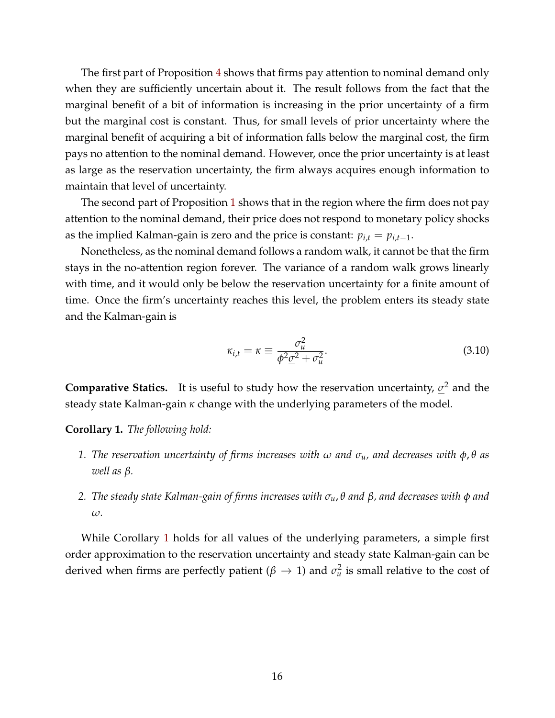The first part of Proposition [4](#page-14-0) shows that firms pay attention to nominal demand only when they are sufficiently uncertain about it. The result follows from the fact that the marginal benefit of a bit of information is increasing in the prior uncertainty of a firm but the marginal cost is constant. Thus, for small levels of prior uncertainty where the marginal benefit of acquiring a bit of information falls below the marginal cost, the firm pays no attention to the nominal demand. However, once the prior uncertainty is at least as large as the reservation uncertainty, the firm always acquires enough information to maintain that level of uncertainty.

The second part of Proposition [1](#page-7-3) shows that in the region where the firm does not pay attention to the nominal demand, their price does not respond to monetary policy shocks as the implied Kalman-gain is zero and the price is constant:  $p_{i,t} = p_{i,t-1}$ .

Nonetheless, as the nominal demand follows a random walk, it cannot be that the firm stays in the no-attention region forever. The variance of a random walk grows linearly with time, and it would only be below the reservation uncertainty for a finite amount of time. Once the firm's uncertainty reaches this level, the problem enters its steady state and the Kalman-gain is

$$
\kappa_{i,t} = \kappa \equiv \frac{\sigma_u^2}{\phi^2 \underline{\sigma}^2 + \sigma_u^2}.
$$
\n(3.10)

**Comparative Statics.** It is useful to study how the reservation uncertainty, *σ* <sup>2</sup> and the steady state Kalman-gain *κ* change with the underlying parameters of the model.

<span id="page-15-0"></span>**Corollary 1.** *The following hold:*

- *1. The reservation uncertainty of firms increases with ω and σu, and decreases with φ*, *θ as well as β.*
- *2. The steady state Kalman-gain of firms increases with σu*, *θ and β, and decreases with φ and ω.*

While Corollary [1](#page-15-0) holds for all values of the underlying parameters, a simple first order approximation to the reservation uncertainty and steady state Kalman-gain can be derived when firms are perfectly patient ( $\beta \rightarrow 1$ ) and  $\sigma_u^2$  is small relative to the cost of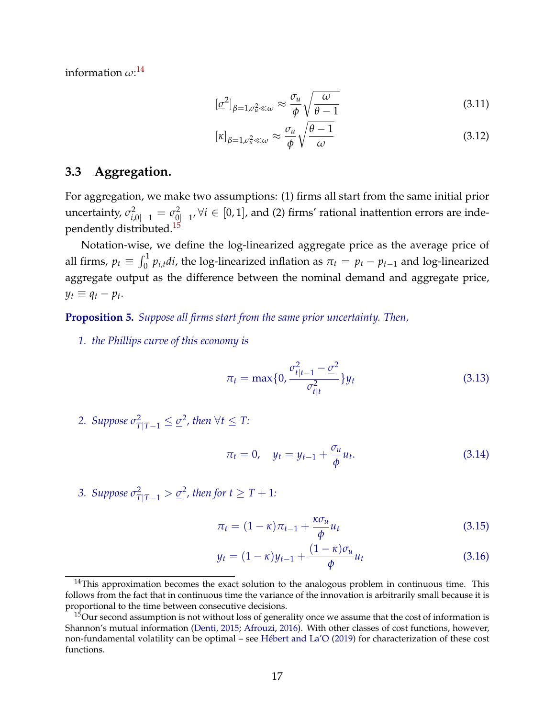information *ω*: [14](#page-16-0)

$$
[\underline{\sigma}^2]_{\beta=1,\sigma_u^2\ll\omega} \approx \frac{\sigma_u}{\phi} \sqrt{\frac{\omega}{\theta-1}}
$$
(3.11)

$$
[\kappa]_{\beta=1,\sigma_u^2\ll\omega} \approx \frac{\sigma_u}{\phi} \sqrt{\frac{\theta-1}{\omega}}
$$
\n(3.12)

## **3.3 Aggregation.**

For aggregation, we make two assumptions: (1) firms all start from the same initial prior uncertainty,  $\sigma_{i,0|-1}^2 = \sigma_{0|-1}^2$ ,  $\forall i \in [0,1]$ , and (2) firms' rational inattention errors are independently distributed.[15](#page-16-1)

Notation-wise, we define the log-linearized aggregate price as the average price of all firms,  $p_t \equiv \int_0^1 p_{i,t} dt$ , the log-linearized inflation as  $\pi_t = p_t - p_{t-1}$  and log-linearized aggregate output as the difference between the nominal demand and aggregate price,  $y_t \equiv q_t - p_t$ .

<span id="page-16-2"></span>**Proposition 5.** *Suppose all firms start from the same prior uncertainty. Then,*

*1. the Phillips curve of this economy is*

$$
\pi_t = \max\{0, \frac{\sigma_{t|t-1}^2 - \underline{\sigma}^2}{\sigma_{t|t}^2}\} y_t
$$
\n(3.13)

2. Suppose  $\sigma_{T|T-1}^2 \leq \underline{\sigma}^2$ , then  $\forall t \leq T$ :

$$
\pi_t = 0, \quad y_t = y_{t-1} + \frac{\sigma_u}{\phi} u_t.
$$
 (3.14)

3. *Suppose*  $\sigma_{T|T-1}^2 > \underline{\sigma}^2$ , then for  $t \geq T+1$ :

$$
\pi_t = (1 - \kappa)\pi_{t-1} + \frac{\kappa \sigma_u}{\phi} u_t \tag{3.15}
$$

$$
y_t = (1 - \kappa)y_{t-1} + \frac{(1 - \kappa)\sigma_u}{\phi}u_t
$$
\n(3.16)

<span id="page-16-0"></span> $14$ This approximation becomes the exact solution to the analogous problem in continuous time. This follows from the fact that in continuous time the variance of the innovation is arbitrarily small because it is proportional to the time between consecutive decisions.

<span id="page-16-1"></span> $15$ Our second assumption is not without loss of generality once we assume that the cost of information is Shannon's mutual information [\(Denti,](#page-21-13) [2015;](#page-21-13) [Afrouzi,](#page-20-1) [2016\)](#page-20-1). With other classes of cost functions, however, non-fundamental volatility can be optimal – see [Hébert and La'O](#page-21-14) [\(2019\)](#page-21-14) for characterization of these cost functions.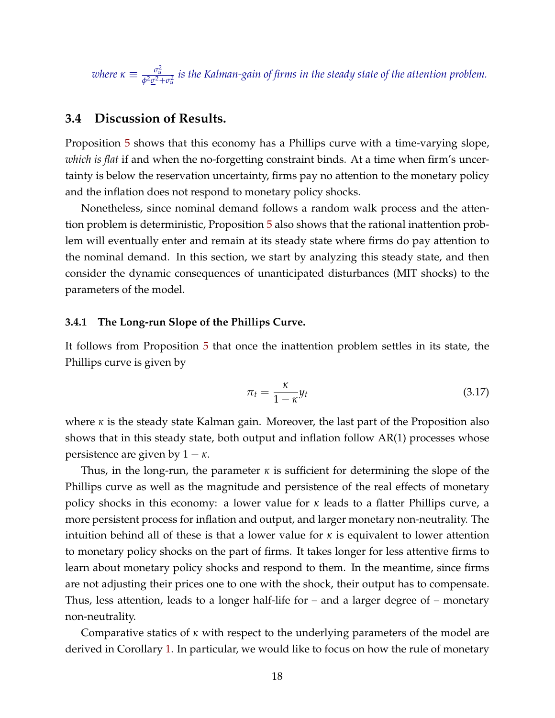where  $\kappa\equiv\frac{\sigma_u^2}{\phi^2\underline{\sigma}^2+\sigma_u^2}$  is the Kalman-gain of firms in the steady state of the attention problem.

## **3.4 Discussion of Results.**

Proposition [5](#page-16-2) shows that this economy has a Phillips curve with a time-varying slope, *which is flat* if and when the no-forgetting constraint binds. At a time when firm's uncertainty is below the reservation uncertainty, firms pay no attention to the monetary policy and the inflation does not respond to monetary policy shocks.

Nonetheless, since nominal demand follows a random walk process and the attention problem is deterministic, Proposition [5](#page-16-2) also shows that the rational inattention problem will eventually enter and remain at its steady state where firms do pay attention to the nominal demand. In this section, we start by analyzing this steady state, and then consider the dynamic consequences of unanticipated disturbances (MIT shocks) to the parameters of the model.

#### **3.4.1 The Long-run Slope of the Phillips Curve.**

It follows from Proposition [5](#page-16-2) that once the inattention problem settles in its state, the Phillips curve is given by

$$
\pi_t = \frac{\kappa}{1 - \kappa} y_t \tag{3.17}
$$

where *κ* is the steady state Kalman gain. Moreover, the last part of the Proposition also shows that in this steady state, both output and inflation follow AR(1) processes whose persistence are given by  $1 - \kappa$ .

Thus, in the long-run, the parameter *κ* is sufficient for determining the slope of the Phillips curve as well as the magnitude and persistence of the real effects of monetary policy shocks in this economy: a lower value for *κ* leads to a flatter Phillips curve, a more persistent process for inflation and output, and larger monetary non-neutrality. The intuition behind all of these is that a lower value for *κ* is equivalent to lower attention to monetary policy shocks on the part of firms. It takes longer for less attentive firms to learn about monetary policy shocks and respond to them. In the meantime, since firms are not adjusting their prices one to one with the shock, their output has to compensate. Thus, less attention, leads to a longer half-life for – and a larger degree of – monetary non-neutrality.

Comparative statics of *κ* with respect to the underlying parameters of the model are derived in Corollary [1.](#page-15-0) In particular, we would like to focus on how the rule of monetary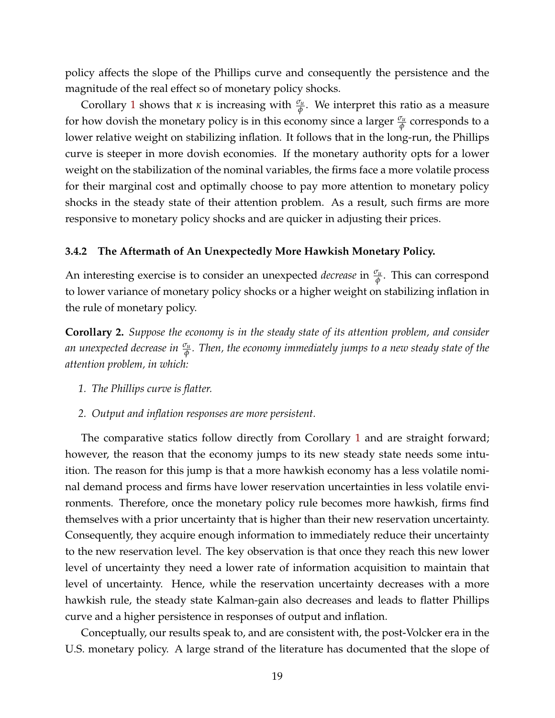policy affects the slope of the Phillips curve and consequently the persistence and the magnitude of the real effect so of monetary policy shocks.

Corollary [1](#page-15-0) shows that *κ* is increasing with  $\frac{\sigma_u}{\phi}$ . We interpret this ratio as a measure for how dovish the monetary policy is in this economy since a larger  $\frac{\sigma_u}{\phi}$  corresponds to a lower relative weight on stabilizing inflation. It follows that in the long-run, the Phillips curve is steeper in more dovish economies. If the monetary authority opts for a lower weight on the stabilization of the nominal variables, the firms face a more volatile process for their marginal cost and optimally choose to pay more attention to monetary policy shocks in the steady state of their attention problem. As a result, such firms are more responsive to monetary policy shocks and are quicker in adjusting their prices.

#### **3.4.2 The Aftermath of An Unexpectedly More Hawkish Monetary Policy.**

An interesting exercise is to consider an unexpected *decrease* in *<sup>σ</sup><sup>u</sup> φ* . This can correspond to lower variance of monetary policy shocks or a higher weight on stabilizing inflation in the rule of monetary policy.

<span id="page-18-0"></span>**Corollary 2.** *Suppose the economy is in the steady state of its attention problem, and consider an unexpected decrease in <sup>σ</sup><sup>u</sup> φ . Then, the economy immediately jumps to a new steady state of the attention problem, in which:*

- *1. The Phillips curve is flatter.*
- *2. Output and inflation responses are more persistent.*

The comparative statics follow directly from Corollary [1](#page-15-0) and are straight forward; however, the reason that the economy jumps to its new steady state needs some intuition. The reason for this jump is that a more hawkish economy has a less volatile nominal demand process and firms have lower reservation uncertainties in less volatile environments. Therefore, once the monetary policy rule becomes more hawkish, firms find themselves with a prior uncertainty that is higher than their new reservation uncertainty. Consequently, they acquire enough information to immediately reduce their uncertainty to the new reservation level. The key observation is that once they reach this new lower level of uncertainty they need a lower rate of information acquisition to maintain that level of uncertainty. Hence, while the reservation uncertainty decreases with a more hawkish rule, the steady state Kalman-gain also decreases and leads to flatter Phillips curve and a higher persistence in responses of output and inflation.

Conceptually, our results speak to, and are consistent with, the post-Volcker era in the U.S. monetary policy. A large strand of the literature has documented that the slope of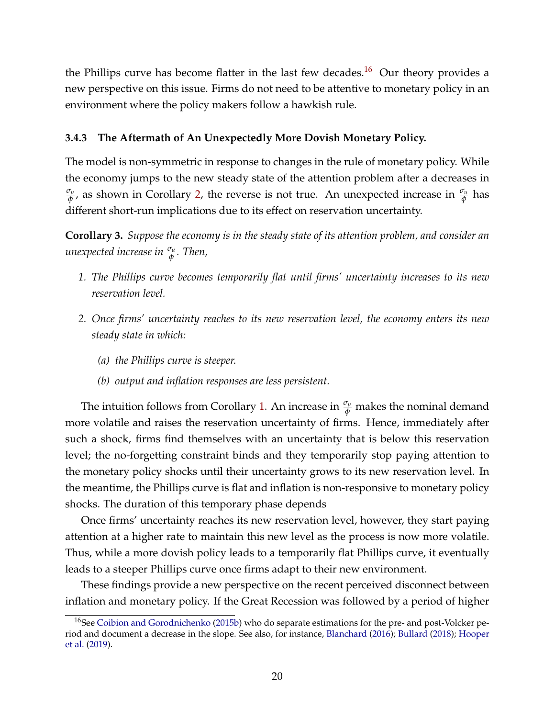the Phillips curve has become flatter in the last few decades.<sup>[16](#page-19-0)</sup> Our theory provides a new perspective on this issue. Firms do not need to be attentive to monetary policy in an environment where the policy makers follow a hawkish rule.

## **3.4.3 The Aftermath of An Unexpectedly More Dovish Monetary Policy.**

The model is non-symmetric in response to changes in the rule of monetary policy. While the economy jumps to the new steady state of the attention problem after a decreases in *σu*  $\frac{\sigma_u}{\phi}$ , as shown in Corollary [2,](#page-18-0) the reverse is not true. An unexpected increase in  $\frac{\sigma_u}{\phi}$  has different short-run implications due to its effect on reservation uncertainty.

<span id="page-19-1"></span>**Corollary 3.** *Suppose the economy is in the steady state of its attention problem, and consider an unexpected increase in <sup>σ</sup><sup>u</sup> φ . Then,*

- *1. The Phillips curve becomes temporarily flat until firms' uncertainty increases to its new reservation level.*
- *2. Once firms' uncertainty reaches to its new reservation level, the economy enters its new steady state in which:*
	- *(a) the Phillips curve is steeper.*
	- *(b) output and inflation responses are less persistent.*

The intuition follows from Corollary [1.](#page-15-0) An increase in *<sup>σ</sup><sup>u</sup> <sup>φ</sup>* makes the nominal demand more volatile and raises the reservation uncertainty of firms. Hence, immediately after such a shock, firms find themselves with an uncertainty that is below this reservation level; the no-forgetting constraint binds and they temporarily stop paying attention to the monetary policy shocks until their uncertainty grows to its new reservation level. In the meantime, the Phillips curve is flat and inflation is non-responsive to monetary policy shocks. The duration of this temporary phase depends

Once firms' uncertainty reaches its new reservation level, however, they start paying attention at a higher rate to maintain this new level as the process is now more volatile. Thus, while a more dovish policy leads to a temporarily flat Phillips curve, it eventually leads to a steeper Phillips curve once firms adapt to their new environment.

These findings provide a new perspective on the recent perceived disconnect between inflation and monetary policy. If the Great Recession was followed by a period of higher

<span id="page-19-0"></span><sup>&</sup>lt;sup>16</sup>See [Coibion and Gorodnichenko](#page-21-0) [\(2015b\)](#page-21-0) who do separate estimations for the pre- and post-Volcker period and document a decrease in the slope. See also, for instance, [Blanchard](#page-20-0) [\(2016\)](#page-20-0); [Bullard](#page-20-2) [\(2018\)](#page-20-2); [Hooper](#page-21-4) [et al.](#page-21-4) [\(2019\)](#page-21-4).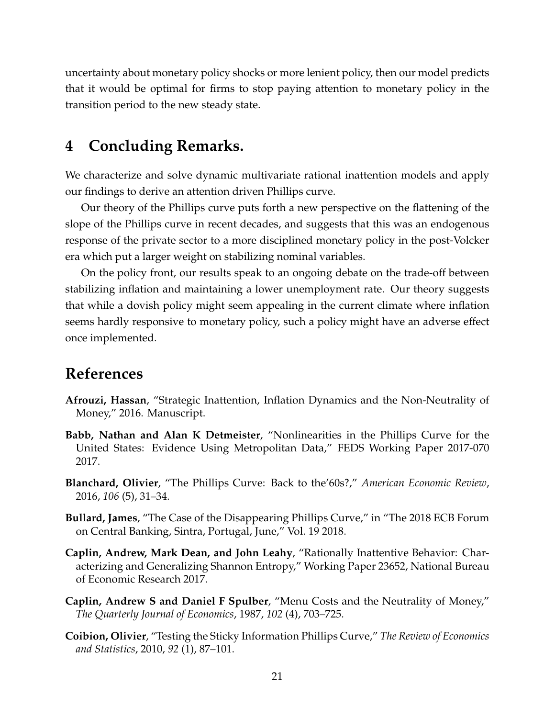uncertainty about monetary policy shocks or more lenient policy, then our model predicts that it would be optimal for firms to stop paying attention to monetary policy in the transition period to the new steady state.

# <span id="page-20-3"></span>**4 Concluding Remarks.**

We characterize and solve dynamic multivariate rational inattention models and apply our findings to derive an attention driven Phillips curve.

Our theory of the Phillips curve puts forth a new perspective on the flattening of the slope of the Phillips curve in recent decades, and suggests that this was an endogenous response of the private sector to a more disciplined monetary policy in the post-Volcker era which put a larger weight on stabilizing nominal variables.

On the policy front, our results speak to an ongoing debate on the trade-off between stabilizing inflation and maintaining a lower unemployment rate. Our theory suggests that while a dovish policy might seem appealing in the current climate where inflation seems hardly responsive to monetary policy, such a policy might have an adverse effect once implemented.

# **References**

- <span id="page-20-1"></span>**Afrouzi, Hassan**, "Strategic Inattention, Inflation Dynamics and the Non-Neutrality of Money," 2016. Manuscript.
- <span id="page-20-5"></span>**Babb, Nathan and Alan K Detmeister**, "Nonlinearities in the Phillips Curve for the United States: Evidence Using Metropolitan Data," FEDS Working Paper 2017-070 2017.
- <span id="page-20-0"></span>**Blanchard, Olivier**, "The Phillips Curve: Back to the'60s?," *American Economic Review*, 2016, *106* (5), 31–34.
- <span id="page-20-2"></span>**Bullard, James**, "The Case of the Disappearing Phillips Curve," in "The 2018 ECB Forum on Central Banking, Sintra, Portugal, June," Vol. 19 2018.
- <span id="page-20-6"></span>**Caplin, Andrew, Mark Dean, and John Leahy**, "Rationally Inattentive Behavior: Characterizing and Generalizing Shannon Entropy," Working Paper 23652, National Bureau of Economic Research 2017.
- <span id="page-20-7"></span>**Caplin, Andrew S and Daniel F Spulber**, "Menu Costs and the Neutrality of Money," *The Quarterly Journal of Economics*, 1987, *102* (4), 703–725.
- <span id="page-20-4"></span>**Coibion, Olivier**, "Testing the Sticky Information Phillips Curve," *The Review of Economics and Statistics*, 2010, *92* (1), 87–101.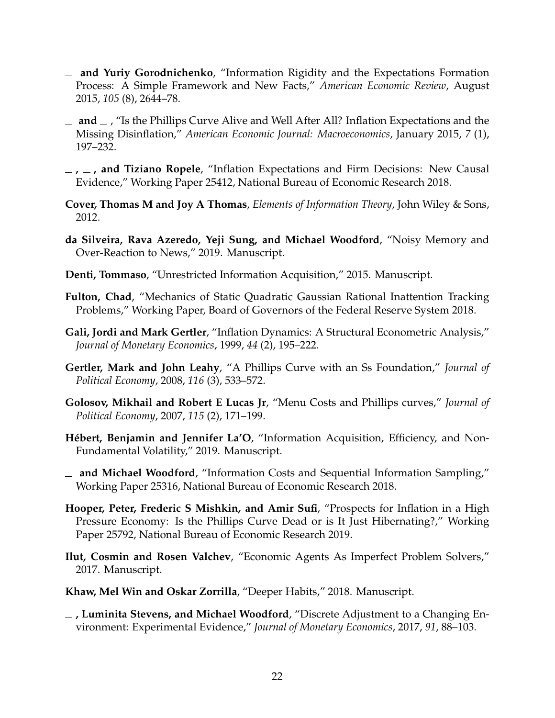- <span id="page-21-6"></span>**and Yuriy Gorodnichenko**, "Information Rigidity and the Expectations Formation Process: A Simple Framework and New Facts," *American Economic Review*, August 2015, *105* (8), 2644–78.
- <span id="page-21-0"></span> $\Box$  and  $\Box$ , "Is the Phillips Curve Alive and Well After All? Inflation Expectations and the Missing Disinflation," *American Economic Journal: Macroeconomics*, January 2015, *7* (1), 197–232.
- <span id="page-21-7"></span>**, , and Tiziano Ropele**, "Inflation Expectations and Firm Decisions: New Causal Evidence," Working Paper 25412, National Bureau of Economic Research 2018.
- <span id="page-21-15"></span>**Cover, Thomas M and Joy A Thomas**, *Elements of Information Theory*, John Wiley & Sons, 2012.
- <span id="page-21-9"></span>**da Silveira, Rava Azeredo, Yeji Sung, and Michael Woodford**, "Noisy Memory and Over-Reaction to News," 2019. Manuscript.
- <span id="page-21-13"></span>**Denti, Tommaso**, "Unrestricted Information Acquisition," 2015. Manuscript.
- <span id="page-21-1"></span>**Fulton, Chad**, "Mechanics of Static Quadratic Gaussian Rational Inattention Tracking Problems," Working Paper, Board of Governors of the Federal Reserve System 2018.
- <span id="page-21-5"></span>**Gali, Jordi and Mark Gertler**, "Inflation Dynamics: A Structural Econometric Analysis," *Journal of Monetary Economics*, 1999, *44* (2), 195–222.
- <span id="page-21-12"></span>**Gertler, Mark and John Leahy**, "A Phillips Curve with an Ss Foundation," *Journal of Political Economy*, 2008, *116* (3), 533–572.
- <span id="page-21-11"></span>**Golosov, Mikhail and Robert E Lucas Jr**, "Menu Costs and Phillips curves," *Journal of Political Economy*, 2007, *115* (2), 171–199.
- <span id="page-21-14"></span>**Hébert, Benjamin and Jennifer La'O**, "Information Acquisition, Efficiency, and Non-Fundamental Volatility," 2019. Manuscript.
- <span id="page-21-10"></span>**and Michael Woodford**, "Information Costs and Sequential Information Sampling," Working Paper 25316, National Bureau of Economic Research 2018.
- <span id="page-21-4"></span>**Hooper, Peter, Frederic S Mishkin, and Amir Sufi**, "Prospects for Inflation in a High Pressure Economy: Is the Phillips Curve Dead or is It Just Hibernating?," Working Paper 25792, National Bureau of Economic Research 2019.
- <span id="page-21-3"></span>**Ilut, Cosmin and Rosen Valchev**, "Economic Agents As Imperfect Problem Solvers," 2017. Manuscript.
- <span id="page-21-2"></span>**Khaw, Mel Win and Oskar Zorrilla**, "Deeper Habits," 2018. Manuscript.
- <span id="page-21-8"></span>**, Luminita Stevens, and Michael Woodford**, "Discrete Adjustment to a Changing Environment: Experimental Evidence," *Journal of Monetary Economics*, 2017, *91*, 88–103.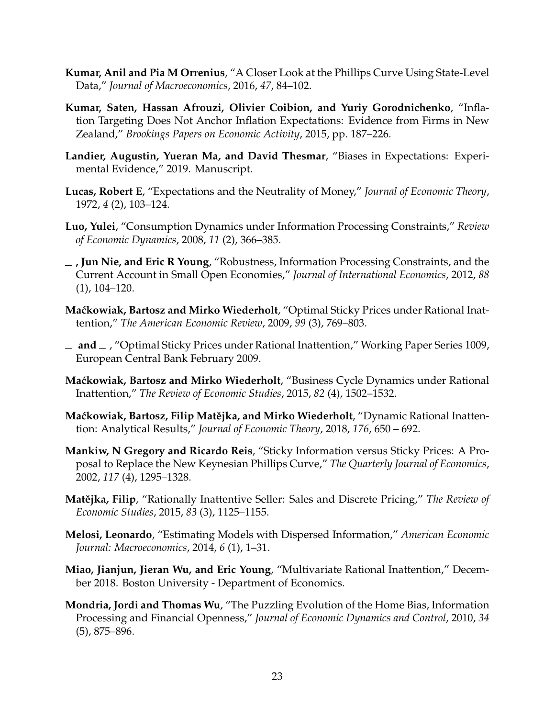- <span id="page-22-11"></span>**Kumar, Anil and Pia M Orrenius**, "A Closer Look at the Phillips Curve Using State-Level Data," *Journal of Macroeconomics*, 2016, *47*, 84–102.
- <span id="page-22-12"></span>**Kumar, Saten, Hassan Afrouzi, Olivier Coibion, and Yuriy Gorodnichenko**, "Inflation Targeting Does Not Anchor Inflation Expectations: Evidence from Firms in New Zealand," *Brookings Papers on Economic Activity*, 2015, pp. 187–226.
- <span id="page-22-13"></span>**Landier, Augustin, Yueran Ma, and David Thesmar**, "Biases in Expectations: Experimental Evidence," 2019. Manuscript.
- <span id="page-22-9"></span>**Lucas, Robert E**, "Expectations and the Neutrality of Money," *Journal of Economic Theory*, 1972, *4* (2), 103–124.
- <span id="page-22-5"></span>**Luo, Yulei**, "Consumption Dynamics under Information Processing Constraints," *Review of Economic Dynamics*, 2008, *11* (2), 366–385.
- <span id="page-22-6"></span>**, Jun Nie, and Eric R Young**, "Robustness, Information Processing Constraints, and the Current Account in Small Open Economies," *Journal of International Economics*, 2012, *88* (1), 104–120.
- <span id="page-22-2"></span>**Ma´ckowiak, Bartosz and Mirko Wiederholt**, "Optimal Sticky Prices under Rational Inattention," *The American Economic Review*, 2009, *99* (3), 769–803.
- <span id="page-22-14"></span>**and** , "Optimal Sticky Prices under Rational Inattention," Working Paper Series 1009, European Central Bank February 2009.
- <span id="page-22-7"></span>**Ma´ckowiak, Bartosz and Mirko Wiederholt**, "Business Cycle Dynamics under Rational Inattention," *The Review of Economic Studies*, 2015, *82* (4), 1502–1532.
- <span id="page-22-0"></span>**Maćkowiak, Bartosz, Filip Matějka, and Mirko Wiederholt**, "Dynamic Rational Inattention: Analytical Results," *Journal of Economic Theory*, 2018, *176*, 650 – 692.
- <span id="page-22-10"></span>**Mankiw, N Gregory and Ricardo Reis**, "Sticky Information versus Sticky Prices: A Proposal to Replace the New Keynesian Phillips Curve," *The Quarterly Journal of Economics*, 2002, *117* (4), 1295–1328.
- <span id="page-22-4"></span>**Matějka, Filip**, "Rationally Inattentive Seller: Sales and Discrete Pricing," *The Review of Economic Studies*, 2015, *83* (3), 1125–1155.
- <span id="page-22-3"></span>**Melosi, Leonardo**, "Estimating Models with Dispersed Information," *American Economic Journal: Macroeconomics*, 2014, *6* (1), 1–31.
- <span id="page-22-1"></span>**Miao, Jianjun, Jieran Wu, and Eric Young**, "Multivariate Rational Inattention," December 2018. Boston University - Department of Economics.
- <span id="page-22-8"></span>**Mondria, Jordi and Thomas Wu**, "The Puzzling Evolution of the Home Bias, Information Processing and Financial Openness," *Journal of Economic Dynamics and Control*, 2010, *34* (5), 875–896.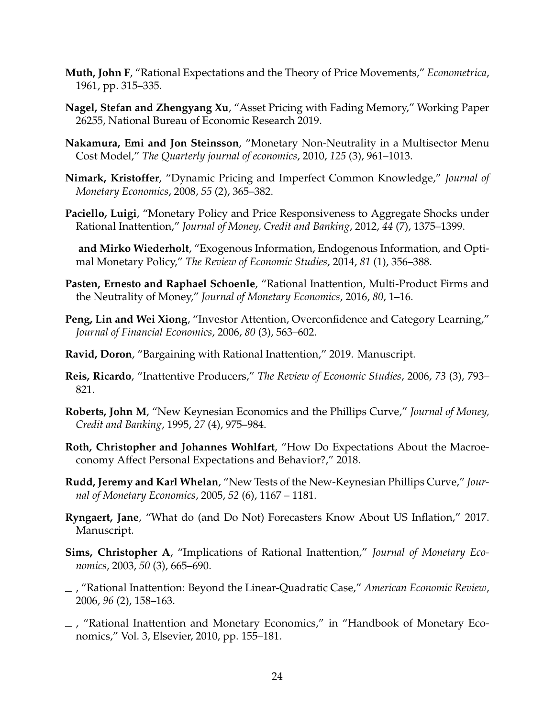- <span id="page-23-0"></span>**Muth, John F**, "Rational Expectations and the Theory of Price Movements," *Econometrica*, 1961, pp. 315–335.
- <span id="page-23-14"></span>**Nagel, Stefan and Zhengyang Xu**, "Asset Pricing with Fading Memory," Working Paper 26255, National Bureau of Economic Research 2019.
- <span id="page-23-16"></span>**Nakamura, Emi and Jon Steinsson**, "Monetary Non-Neutrality in a Multisector Menu Cost Model," *The Quarterly journal of economics*, 2010, *125* (3), 961–1013.
- <span id="page-23-9"></span>**Nimark, Kristoffer**, "Dynamic Pricing and Imperfect Common Knowledge," *Journal of Monetary Economics*, 2008, *55* (2), 365–382.
- <span id="page-23-4"></span>**Paciello, Luigi**, "Monetary Policy and Price Responsiveness to Aggregate Shocks under Rational Inattention," *Journal of Money, Credit and Banking*, 2012, *44* (7), 1375–1399.
- <span id="page-23-6"></span>**and Mirko Wiederholt**, "Exogenous Information, Endogenous Information, and Optimal Monetary Policy," *The Review of Economic Studies*, 2014, *81* (1), 356–388.
- <span id="page-23-5"></span>**Pasten, Ernesto and Raphael Schoenle**, "Rational Inattention, Multi-Product Firms and the Neutrality of Money," *Journal of Monetary Economics*, 2016, *80*, 1–16.
- <span id="page-23-7"></span>**Peng, Lin and Wei Xiong**, "Investor Attention, Overconfidence and Category Learning," *Journal of Financial Economics*, 2006, *80* (3), 563–602.
- <span id="page-23-15"></span>**Ravid, Doron**, "Bargaining with Rational Inattention," 2019. Manuscript.
- <span id="page-23-8"></span>**Reis, Ricardo**, "Inattentive Producers," *The Review of Economic Studies*, 2006, *73* (3), 793– 821.
- <span id="page-23-10"></span>**Roberts, John M**, "New Keynesian Economics and the Phillips Curve," *Journal of Money, Credit and Banking*, 1995, *27* (4), 975–984.
- <span id="page-23-13"></span>**Roth, Christopher and Johannes Wohlfart**, "How Do Expectations About the Macroeconomy Affect Personal Expectations and Behavior?," 2018.
- <span id="page-23-11"></span>**Rudd, Jeremy and Karl Whelan**, "New Tests of the New-Keynesian Phillips Curve," *Journal of Monetary Economics*, 2005, *52* (6), 1167 – 1181.
- <span id="page-23-12"></span>**Ryngaert, Jane**, "What do (and Do Not) Forecasters Know About US Inflation," 2017. Manuscript.
- <span id="page-23-1"></span>**Sims, Christopher A**, "Implications of Rational Inattention," *Journal of Monetary Economics*, 2003, *50* (3), 665–690.
- <span id="page-23-2"></span>, "Rational Inattention: Beyond the Linear-Quadratic Case," *American Economic Review*, 2006, *96* (2), 158–163.
- <span id="page-23-3"></span>, "Rational Inattention and Monetary Economics," in "Handbook of Monetary Economics," Vol. 3, Elsevier, 2010, pp. 155–181.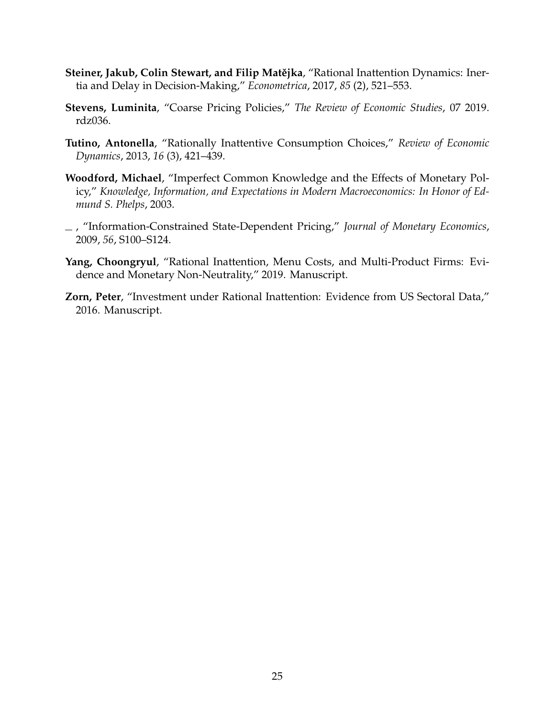- <span id="page-24-0"></span>**Steiner, Jakub, Colin Stewart, and Filip Matějka**, "Rational Inattention Dynamics: Inertia and Delay in Decision-Making," *Econometrica*, 2017, *85* (2), 521–553.
- <span id="page-24-5"></span>**Stevens, Luminita**, "Coarse Pricing Policies," *The Review of Economic Studies*, 07 2019. rdz036.
- <span id="page-24-2"></span>**Tutino, Antonella**, "Rationally Inattentive Consumption Choices," *Review of Economic Dynamics*, 2013, *16* (3), 421–439.
- <span id="page-24-6"></span>**Woodford, Michael**, "Imperfect Common Knowledge and the Effects of Monetary Policy," *Knowledge, Information, and Expectations in Modern Macroeconomics: In Honor of Edmund S. Phelps*, 2003.
- <span id="page-24-4"></span>, "Information-Constrained State-Dependent Pricing," *Journal of Monetary Economics*, 2009, *56*, S100–S124.
- <span id="page-24-1"></span>**Yang, Choongryul**, "Rational Inattention, Menu Costs, and Multi-Product Firms: Evidence and Monetary Non-Neutrality," 2019. Manuscript.
- <span id="page-24-3"></span>**Zorn, Peter**, "Investment under Rational Inattention: Evidence from US Sectoral Data," 2016. Manuscript.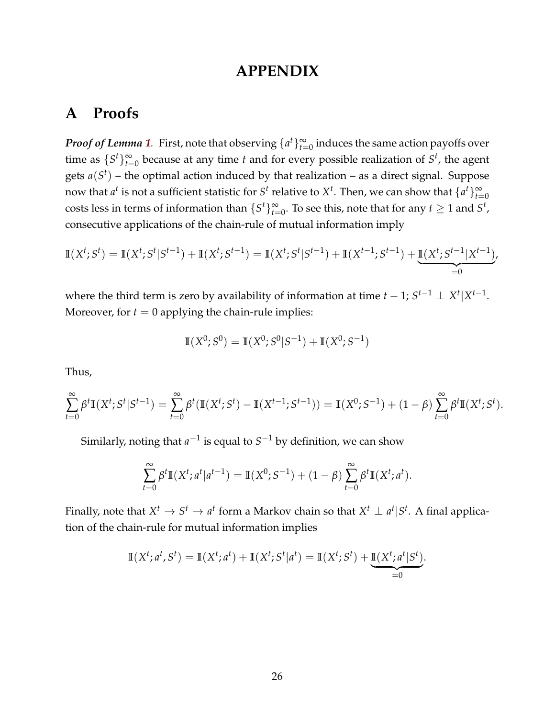# **APPENDIX**

# **A Proofs**

*Proof of Lemma [1](#page-6-1).* First, note that observing  $\{a^t\}_{t=0}^{\infty}$  induces the same action payoffs over time as  $\{S^t\}_{t=0}^{\infty}$  because at any time *t* and for every possible realization of  $S^t$ , the agent gets  $a(S^t)$  – the optimal action induced by that realization – as a direct signal. Suppose now that  $a^t$  is not a sufficient statistic for  $S^t$  relative to  $X^t$ . Then, we can show that  $\{a^t\}_{t=0}^\infty$ costs less in terms of information than  $\{S^t\}_{t=0}^{\infty}$ . To see this, note that for any  $t \geq 1$  and  $S^t$ , consecutive applications of the chain-rule of mutual information imply

$$
\mathbb{I}(X^{t}; S^{t}) = \mathbb{I}(X^{t}; S^{t} | S^{t-1}) + \mathbb{I}(X^{t}; S^{t-1}) = \mathbb{I}(X^{t}; S^{t} | S^{t-1}) + \mathbb{I}(X^{t-1}; S^{t-1}) + \underbrace{\mathbb{I}(X^{t}; S^{t-1} | X^{t-1})}_{=0}.
$$

where the third term is zero by availability of information at time  $t - 1$ ;  $S^{t-1} \perp X^t | X^{t-1}$ . Moreover, for  $t = 0$  applying the chain-rule implies:

$$
\mathbb{I}(X^0; S^0) = \mathbb{I}(X^0; S^0|S^{-1}) + \mathbb{I}(X^0; S^{-1})
$$

Thus,

$$
\sum_{t=0}^{\infty} \beta^t \mathbb{I}(X^t; S^t | S^{t-1}) = \sum_{t=0}^{\infty} \beta^t (\mathbb{I}(X^t; S^t) - \mathbb{I}(X^{t-1}; S^{t-1})) = \mathbb{I}(X^0; S^{-1}) + (1 - \beta) \sum_{t=0}^{\infty} \beta^t \mathbb{I}(X^t; S^t).
$$

Similarly, noting that  $a^{-1}$  is equal to  $S^{-1}$  by definition, we can show

$$
\sum_{t=0}^{\infty} \beta^t \mathbb{I}(X^t; a^t | a^{t-1}) = \mathbb{I}(X^0; S^{-1}) + (1 - \beta) \sum_{t=0}^{\infty} \beta^t \mathbb{I}(X^t; a^t).
$$

Finally, note that  $X^t \to S^t \to a^t$  form a Markov chain so that  $X^t \perp a^t | S^t$ . A final application of the chain-rule for mutual information implies

$$
\mathbb{I}(X^t; a^t, S^t) = \mathbb{I}(X^t; a^t) + \mathbb{I}(X^t; S^t | a^t) = \mathbb{I}(X^t; S^t) + \underbrace{\mathbb{I}(X^t; a^t | S^t)}_{=0}.
$$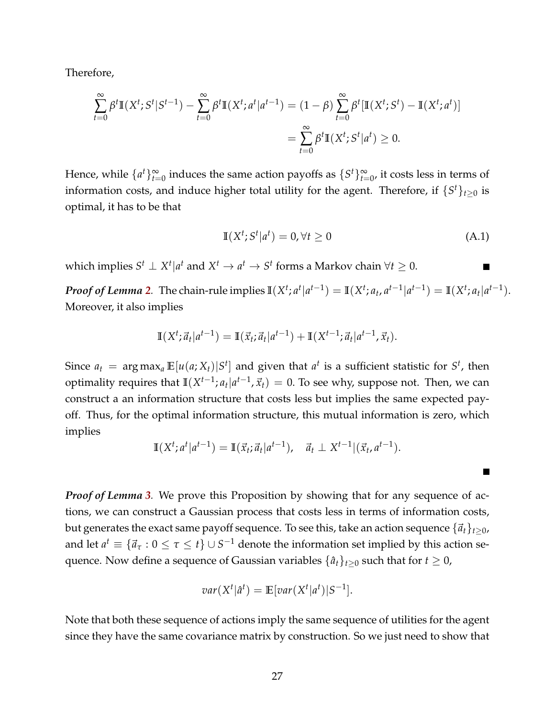Therefore,

$$
\sum_{t=0}^{\infty} \beta^t \mathbb{I}(X^t; S^t | S^{t-1}) - \sum_{t=0}^{\infty} \beta^t \mathbb{I}(X^t; a^t | a^{t-1}) = (1 - \beta) \sum_{t=0}^{\infty} \beta^t [\mathbb{I}(X^t; S^t) - \mathbb{I}(X^t; a^t)]
$$
  
= 
$$
\sum_{t=0}^{\infty} \beta^t \mathbb{I}(X^t; S^t | a^t) \ge 0.
$$

Hence, while  $\{a^t\}_{t=0}^{\infty}$  induces the same action payoffs as  $\{S^t\}_{t=0}^{\infty}$ , it costs less in terms of information costs, and induce higher total utility for the agent. Therefore, if  $\{S^t\}_{t\geq 0}$  is optimal, it has to be that

$$
\mathbb{I}(X^t; S^t | a^t) = 0, \forall t \ge 0 \tag{A.1}
$$

which implies  $S^t \perp X^t | a^t$  and  $X^t \to a^t \to S^t$  forms a Markov chain  $\forall t \geq 0$ .

**Proof of Lemma [2](#page-6-2)**. The chain-rule implies  $\mathbb{I}(X^t; a^t|a^{t-1}) = \mathbb{I}(X^t; a_t, a^{t-1}|a^{t-1}) = \mathbb{I}(X^t; a_t|a^{t-1}).$ Moreover, it also implies

$$
\mathbb{I}(X^t; \vec{a}_t | a^{t-1}) = \mathbb{I}(\vec{x}_t; \vec{a}_t | a^{t-1}) + \mathbb{I}(X^{t-1}; \vec{a}_t | a^{t-1}, \vec{x}_t).
$$

Since  $a_t = \argmax_a \mathbb{E}[u(a; X_t)|S^t]$  and given that  $a^t$  is a sufficient statistic for  $S^t$ , then optimality requires that  $\mathbb{I}(X^{t-1}; a_t | a^{t-1}, \vec{x}_t) = 0$ . To see why, suppose not. Then, we can construct a an information structure that costs less but implies the same expected payoff. Thus, for the optimal information structure, this mutual information is zero, which implies

$$
\mathbb{I}(X^{t}; a^{t} | a^{t-1}) = \mathbb{I}(\vec{x}_{t}; \vec{a}_{t} | a^{t-1}), \quad \vec{a}_{t} \perp X^{t-1} | (\vec{x}_{t}, a^{t-1}).
$$

*Proof of Lemma [3](#page-7-2).* We prove this Proposition by showing that for any sequence of actions, we can construct a Gaussian process that costs less in terms of information costs, but generates the exact same payoff sequence. To see this, take an action sequence  $\{\vec{a}_t\}_{t>0}$ , and let  $a^t \equiv \{\vec{a}_\tau: 0 \leq \tau \leq t\} \cup S^{-1}$  denote the information set implied by this action sequence. Now define a sequence of Gaussian variables  $\{\hat{a}_t\}_{t>0}$  such that for  $t \geq 0$ ,

$$
var(X^t | \hat{a}^t) = \mathbb{E}[var(X^t | a^t) | S^{-1}].
$$

Note that both these sequence of actions imply the same sequence of utilities for the agent since they have the same covariance matrix by construction. So we just need to show that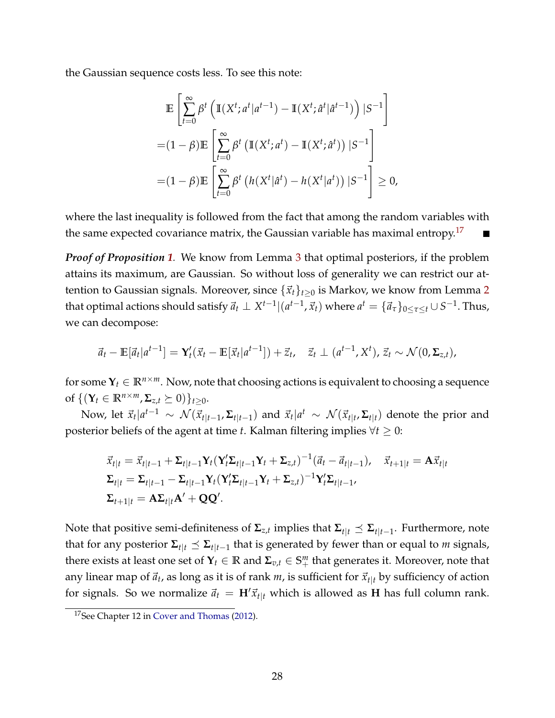the Gaussian sequence costs less. To see this note:

$$
\mathbb{E}\left[\sum_{t=0}^{\infty} \beta^t \left(\mathbb{I}(X^t; a^t | a^{t-1}) - \mathbb{I}(X^t; \hat{a}^t | \hat{a}^{t-1})\right) | S^{-1}\right]
$$

$$
= (1 - \beta)\mathbb{E}\left[\sum_{t=0}^{\infty} \beta^t \left(\mathbb{I}(X^t; a^t) - \mathbb{I}(X^t; \hat{a}^t)\right) | S^{-1}\right]
$$

$$
= (1 - \beta)\mathbb{E}\left[\sum_{t=0}^{\infty} \beta^t \left(h(X^t | \hat{a}^t) - h(X^t | a^t)\right) | S^{-1}\right] \ge 0,
$$

where the last inequality is followed from the fact that among the random variables with the same expected covariance matrix, the Gaussian variable has maximal entropy.<sup>[17](#page-27-0)</sup>

*Proof of Proposition [1](#page-7-3).* We know from Lemma [3](#page-7-2) that optimal posteriors, if the problem attains its maximum, are Gaussian. So without loss of generality we can restrict our attention to Gaussian signals. Moreover, since  $\{\vec{x}_t\}_{t>0}$  is Markov, we know from Lemma [2](#page-6-2) that optimal actions should satisfy  $\vec{a}_t \perp X^{t-1}|(a^{t-1},\vec{x}_t)$  where  $a^t = \{\vec{a}_\tau\}_{0\leq \tau\leq t}\cup S^{-1}.$  Thus, we can decompose:

$$
\vec{a}_t - \mathbb{E}[\vec{a}_t|a^{t-1}] = \mathbf{Y}_t'(\vec{x}_t - \mathbb{E}[\vec{x}_t|a^{t-1}]) + \vec{z}_t, \quad \vec{z}_t \perp (a^{t-1}, X^t), \vec{z}_t \sim \mathcal{N}(0, \Sigma_{z,t}),
$$

for some  $Y_t \in \mathbb{R}^{n \times m}$ . Now, note that choosing actions is equivalent to choosing a sequence of  $\{({\bf Y}_t \in \mathbb{R}^{n \times m}, \Sigma_{z,t} \succeq 0)\}_{t>0}$ .

Now, let  $\vec{x}_t | a^{t-1} \sim \mathcal{N}(\vec{x}_{t|t-1}, \Sigma_{t|t-1})$  and  $\vec{x}_t | a^t \sim \mathcal{N}(\vec{x}_{t|t}, \Sigma_{t|t})$  denote the prior and posterior beliefs of the agent at time *t*. Kalman filtering implies ∀*t* ≥ 0:

$$
\begin{aligned}\n\vec{x}_{t|t} &= \vec{x}_{t|t-1} + \Sigma_{t|t-1} \mathbf{Y}_t (\mathbf{Y}_t' \Sigma_{t|t-1} \mathbf{Y}_t + \Sigma_{z,t})^{-1} (\vec{a}_t - \vec{a}_{t|t-1}), \quad \vec{x}_{t+1|t} = \mathbf{A} \vec{x}_{t|t} \\
\Sigma_{t|t} &= \Sigma_{t|t-1} - \Sigma_{t|t-1} \mathbf{Y}_t (\mathbf{Y}_t' \Sigma_{t|t-1} \mathbf{Y}_t + \Sigma_{z,t})^{-1} \mathbf{Y}_t' \Sigma_{t|t-1}, \\
\Sigma_{t+1|t} &= \mathbf{A} \Sigma_{t|t} \mathbf{A}' + \mathbf{Q} \mathbf{Q}'.\n\end{aligned}
$$

Note that positive semi-definiteness of  $Σ_{z,t}$  implies that  $Σ_{t|t} ≤ Σ_{t|t-1}$ . Furthermore, note that for any posterior  $\Sigma_{t|t} \preceq \Sigma_{t|t-1}$  that is generated by fewer than or equal to *m* signals, there exists at least one set of  $\mathbf{Y}_t \in \mathbb{R}$  and  $\mathbf{\Sigma}_{v,t} \in \mathbb{S}^m_+$  that generates it. Moreover, note that any linear map of  $\vec{a}_t$ , as long as it is of rank *m*, is sufficient for  $\vec{x}_{t|t}$  by sufficiency of action for signals. So we normalize  $\vec{a}_t = H' \vec{x}_{t|t}$  which is allowed as **H** has full column rank.

<span id="page-27-0"></span><sup>&</sup>lt;sup>17</sup>See Chapter 12 in [Cover and Thomas](#page-21-15) [\(2012\)](#page-21-15).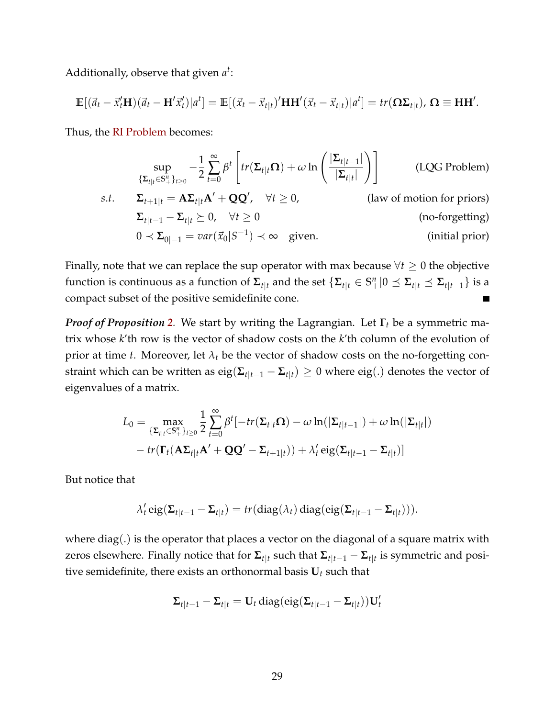Additionally, observe that given *a t* :

$$
\mathbb{E}[(\vec{a}_t - \vec{x}'_t \mathbf{H})(\vec{a}_t - \mathbf{H}'\vec{x}'_t)|a^t] = \mathbb{E}[(\vec{x}_t - \vec{x}_{t|t})'\mathbf{H}\mathbf{H}'(\vec{x}_t - \vec{x}_{t|t})|a^t] = tr(\mathbf{\Omega}\Sigma_{t|t}), \mathbf{\Omega} \equiv \mathbf{H}\mathbf{H}'.
$$

Thus, the [RI Problem](#page-6-0) becomes:

$$
\sup_{\{\Sigma_{t|t}\in\mathbb{S}_{+}^{n}\}_{t\geq0}} -\frac{1}{2}\sum_{t=0}^{\infty}\beta^{t}\left[tr(\Sigma_{t|t}\Omega)+\omega\ln\left(\frac{|\Sigma_{t|t-1}|}{|\Sigma_{t|t}|}\right)\right]
$$
(LQG Problem)  
s.t.  $\Sigma_{t+1|t} = A\Sigma_{t|t}A' + QQ', \quad \forall t \geq 0,$  (law of motion for priors)  
 $\Sigma_{t|t-1} - \Sigma_{t|t} \succeq 0, \quad \forall t \geq 0$  (no-forgetting)  
 $0 \prec \Sigma_{0|-1} = var(\vec{x}_0|S^{-1}) \prec \infty$  given. (initial prior)

Finally, note that we can replace the sup operator with max because  $\forall t \geq 0$  the objective function is continuous as a function of  $\Sigma_{t|t}$  and the set  $\{\Sigma_{t|t}\in\mathbb{S}^n_+|0\preceq\Sigma_{t|t}\preceq\Sigma_{t|t-1}\}$  is a compact subset of the positive semidefinite cone.

*Proof of Proposition [2](#page-9-1).* We start by writing the Lagrangian. Let **Γ***<sup>t</sup>* be a symmetric matrix whose *k*'th row is the vector of shadow costs on the *k*'th column of the evolution of prior at time *t*. Moreover, let  $\lambda_t$  be the vector of shadow costs on the no-forgetting constraint which can be written as  $\text{eig}(\mathbf{\Sigma}_{t|t-1} - \mathbf{\Sigma}_{t|t}) \geq 0$  where  $\text{eig}(.)$  denotes the vector of eigenvalues of a matrix.

$$
L_0 = \max_{\{\Sigma_{t|t}\in\mathbb{S}_+^n\}_{t\geq 0}} \frac{1}{2} \sum_{t=0}^{\infty} \beta^t [-tr(\Sigma_{t|t}\Omega) - \omega \ln(|\Sigma_{t|t-1}|) + \omega \ln(|\Sigma_{t|t}|)
$$

$$
- tr(\Gamma_t(\mathbf{A}\Sigma_{t|t}\mathbf{A}' + \mathbf{Q}\mathbf{Q}' - \Sigma_{t+1|t})) + \lambda'_t \operatorname{eig}(\Sigma_{t|t-1} - \Sigma_{t|t})]
$$

But notice that

$$
\lambda_t' \operatorname{eig}(\Sigma_{t|t-1} - \Sigma_{t|t}) = tr(\operatorname{diag}(\lambda_t) \operatorname{diag}(\operatorname{eig}(\Sigma_{t|t-1} - \Sigma_{t|t}))).
$$

where  $diag(.)$  is the operator that places a vector on the diagonal of a square matrix with zeros elsewhere. Finally notice that for  $\Sigma_{t|t}$  such that  $\Sigma_{t|t-1} - \Sigma_{t|t}$  is symmetric and positive semidefinite, there exists an orthonormal basis  $U_t$  such that

$$
\Sigma_{t|t-1} - \Sigma_{t|t} = \mathbf{U}_t \operatorname{diag}(eig(\Sigma_{t|t-1} - \Sigma_{t|t})) \mathbf{U}_t'
$$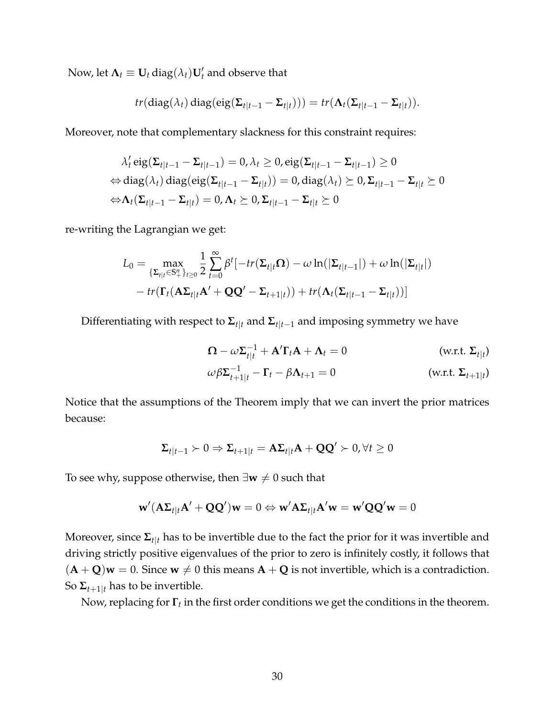Now, let  $\mathbf{\Lambda}_t \equiv \mathbf{U}_t \operatorname{diag}(\lambda_t) \mathbf{U}'_t$  and observe that

$$
tr(\text{diag}(\lambda_t) \text{diag}(\text{eig}(\Sigma_{t|t-1} - \Sigma_{t|t}))) = tr(\Lambda_t(\Sigma_{t|t-1} - \Sigma_{t|t})).
$$

Moreover, note that complementary slackness for this constraint requires:

$$
\lambda'_t \operatorname{eig}(\Sigma_{t|t-1} - \Sigma_{t|t-1}) = 0, \lambda_t \ge 0, \operatorname{eig}(\Sigma_{t|t-1} - \Sigma_{t|t-1}) \ge 0
$$
  
\n
$$
\Leftrightarrow \operatorname{diag}(\lambda_t) \operatorname{diag}(\operatorname{eig}(\Sigma_{t|t-1} - \Sigma_{t|t})) = 0, \operatorname{diag}(\lambda_t) \ge 0, \Sigma_{t|t-1} - \Sigma_{t|t} \ge 0
$$
  
\n
$$
\Leftrightarrow \Lambda_t(\Sigma_{t|t-1} - \Sigma_{t|t}) = 0, \Lambda_t \ge 0, \Sigma_{t|t-1} - \Sigma_{t|t} \ge 0
$$

re-writing the Lagrangian we get:

$$
L_0 = \max_{\{\Sigma_{t|t}\in\mathbb{S}_+^n\}_{t\geq 0}} \frac{1}{2} \sum_{t=0}^{\infty} \beta^t \left[ -tr(\Sigma_{t|t}\Omega) - \omega \ln(|\Sigma_{t|t-1}|) + \omega \ln(|\Sigma_{t|t}|) - tr(\Gamma_t(\mathbf{A}\Sigma_{t|t}\mathbf{A}' + \mathbf{Q}\mathbf{Q}' - \Sigma_{t+1|t})) + tr(\mathbf{\Lambda}_t(\Sigma_{t|t-1} - \Sigma_{t|t})) \right]
$$

Differentiating with respect to  $\Sigma_{t|t}$  and  $\Sigma_{t|t-1}$  and imposing symmetry we have

$$
\Omega - \omega \Sigma_{t|t}^{-1} + A' \Gamma_t A + \Lambda_t = 0
$$
 (w.r.t.  $\Sigma_{t|t}$ )  
\n
$$
\omega \beta \Sigma_{t+1|t}^{-1} - \Gamma_t - \beta \Lambda_{t+1} = 0
$$
 (w.r.t.  $\Sigma_{t+1|t}$ )

Notice that the assumptions of the Theorem imply that we can invert the prior matrices because:

$$
\Sigma_{t|t-1} \succ 0 \Rightarrow \Sigma_{t+1|t} = A\Sigma_{t|t}A + QQ' \succ 0, \forall t \ge 0
$$

To see why, suppose otherwise, then  $\exists w \neq 0$  such that

$$
\mathbf{w}'(\mathbf{A}\boldsymbol{\Sigma}_{t|t}\mathbf{A}'+\mathbf{Q}\mathbf{Q}')\mathbf{w} = 0 \Leftrightarrow \mathbf{w}'\mathbf{A}\boldsymbol{\Sigma}_{t|t}\mathbf{A}'\mathbf{w} = \mathbf{w}'\mathbf{Q}\mathbf{Q}'\mathbf{w} = 0
$$

Moreover, since  $\Sigma_{t|t}$  has to be invertible due to the fact the prior for it was invertible and driving strictly positive eigenvalues of the prior to zero is infinitely costly, it follows that  $({\bf A} + {\bf Q}){\bf w} = 0$ . Since  ${\bf w} \neq 0$  this means  ${\bf A} + {\bf Q}$  is not invertible, which is a contradiction. So  $\Sigma_{t+1|t}$  has to be invertible.

Now, replacing for **Γ***<sup>t</sup>* in the first order conditions we get the conditions in the theorem.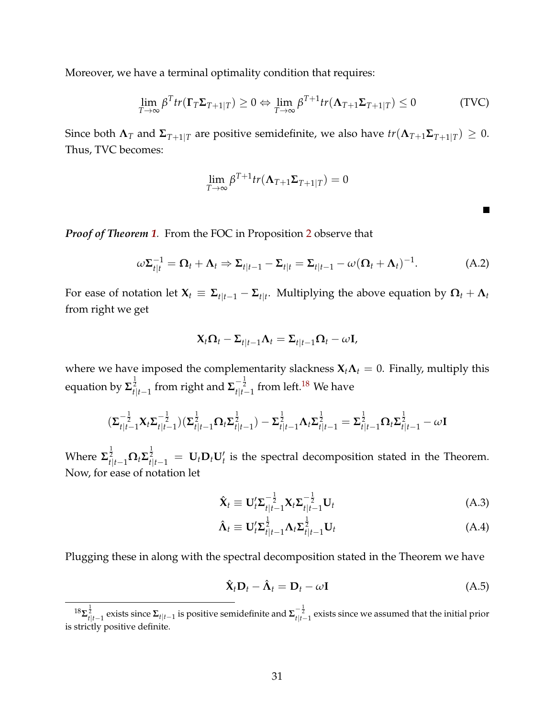Moreover, we have a terminal optimality condition that requires:

$$
\lim_{T \to \infty} \beta^T tr(\mathbf{\Gamma}_T \mathbf{\Sigma}_{T+1|T}) \ge 0 \Leftrightarrow \lim_{T \to \infty} \beta^{T+1} tr(\mathbf{\Lambda}_{T+1} \mathbf{\Sigma}_{T+1|T}) \le 0
$$
\n(TVC)

Since both  $\Lambda_T$  and  $\Sigma_{T+1|T}$  are positive semidefinite, we also have  $tr(\Lambda_{T+1}\Sigma_{T+1|T})\geq 0$ . Thus, TVC becomes:

$$
\lim_{T\to\infty}\beta^{T+1}tr(\mathbf{\Lambda}_{T+1}\mathbf{\Sigma}_{T+1|T})=0
$$

 $\blacksquare$ 

*Proof of Theorem [1](#page-9-4).* From the FOC in Proposition [2](#page-9-1) observe that

$$
\omega \Sigma_{t|t}^{-1} = \Omega_t + \Lambda_t \Rightarrow \Sigma_{t|t-1} - \Sigma_{t|t} = \Sigma_{t|t-1} - \omega (\Omega_t + \Lambda_t)^{-1}.
$$
 (A.2)

For ease of notation let  $\mathbf{X}_t \equiv \mathbf{\Sigma}_{t|t-1} - \mathbf{\Sigma}_{t|t}.$  Multiplying the above equation by  $\mathbf{\Omega}_t + \mathbf{\Lambda}_t$ from right we get

$$
\mathbf{X}_t \mathbf{\Omega}_t - \mathbf{\Sigma}_{t|t-1} \mathbf{\Lambda}_t = \mathbf{\Sigma}_{t|t-1} \mathbf{\Omega}_t - \omega \mathbf{I},
$$

where we have imposed the complementarity slackness  $X_t \Lambda_t = 0$ . Finally, multiply this equation by  $\mathbf{\Sigma}_{t|t-1}^{\frac{1}{2}}$  from right and  $\mathbf{\Sigma}_{t|t-1}^{-\frac{1}{2}}$  from left.<sup>[18](#page-30-0)</sup> We have

$$
(\Sigma_{t|t-1}^{-\frac{1}{2}} \mathbf{X}_t \Sigma_{t|t-1}^{-\frac{1}{2}}) (\Sigma_{t|t-1}^{\frac{1}{2}} \Omega_t \Sigma_{t|t-1}^{\frac{1}{2}}) - \Sigma_{t|t-1}^{\frac{1}{2}} \Lambda_t \Sigma_{t|t-1}^{\frac{1}{2}} = \Sigma_{t|t-1}^{\frac{1}{2}} \Omega_t \Sigma_{t|t-1}^{\frac{1}{2}} - \omega \mathbf{I}
$$

Where  $\mathbf{\Sigma}_{t|t-1}^{\frac{1}{2}} \mathbf{\Omega}_t \mathbf{\Sigma}_{t|t-1}^{\frac{1}{2}} = \mathbf{U}_t \mathbf{D}_t \mathbf{U}_t'$  is the spectral decomposition stated in the Theorem. Now, for ease of notation let

<span id="page-30-2"></span>
$$
\hat{\mathbf{X}}_t \equiv \mathbf{U}_t^{\prime} \boldsymbol{\Sigma}_{t|t-1}^{-\frac{1}{2}} \mathbf{X}_t \boldsymbol{\Sigma}_{t|t-1}^{-\frac{1}{2}} \mathbf{U}_t
$$
\n(A.3)

$$
\hat{\Lambda}_t \equiv \mathbf{U}_t^{\prime} \Sigma_{t|t-1}^{\frac{1}{2}} \Lambda_t \Sigma_{t|t-1}^{\frac{1}{2}} \mathbf{U}_t
$$
\n(A.4)

Plugging these in along with the spectral decomposition stated in the Theorem we have

<span id="page-30-1"></span>
$$
\hat{\mathbf{X}}_t \mathbf{D}_t - \hat{\mathbf{\Lambda}}_t = \mathbf{D}_t - \omega \mathbf{I}
$$
 (A.5)

<span id="page-30-0"></span> $^{18}\Sigma_{t|t-1}^{\frac12}$  exists since  $\Sigma_{t|t-1}$  is positive semidefinite and  $\Sigma_{t|t-1}^{-\frac12}$  exists since we assumed that the initial prior is strictly positive definite.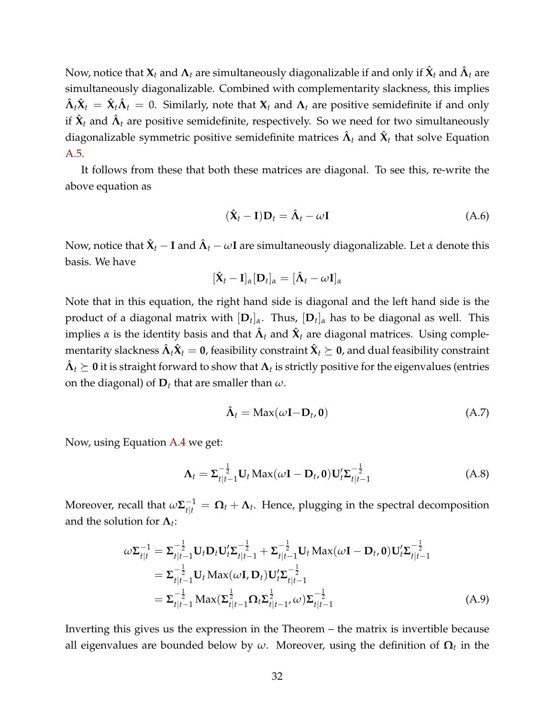$N$ ow, notice that  $\mathbf{X}_t$  and  $\mathbf{\Lambda}_t$  are simultaneously diagonalizable if and only if  $\hat{\mathbf{X}}_t$  and  $\hat{\mathbf{\Lambda}}_t$  are simultaneously diagonalizable. Combined with complementarity slackness, this implies  $\hat{\bm{\Lambda}}_t\hat{\bm{X}}_t = \hat{\bm{X}}_t\hat{\bm{\Lambda}}_t = 0$ . Similarly, note that  $\bm{X}_t$  and  $\bm{\Lambda}_t$  are positive semidefinite if and only if  $\hat{\mathbf{X}}_t$  and  $\hat{\mathbf{\Lambda}}_t$  are positive semidefinite, respectively. So we need for two simultaneously diagonalizable symmetric positive semidefinite matrices  $\hat{\bm{\Lambda}}_t$  and  $\hat{\bm{\chi}}_t$  that solve Equation [A.5.](#page-30-1)

It follows from these that both these matrices are diagonal. To see this, re-write the above equation as

$$
(\hat{\mathbf{X}}_t - \mathbf{I})\mathbf{D}_t = \hat{\mathbf{\Lambda}}_t - \omega \mathbf{I}
$$
 (A.6)

Now, notice that  $\hat{\bm{X}}_t - \bm{I}$  and  $\hat{\bm{\Lambda}}_t - \omega \textbf{I}$  are simultaneously diagonalizable. Let  $\alpha$  denote this basis. We have

$$
[\hat{\mathbf{X}}_t - \mathbf{I}]_{\alpha} [\mathbf{D}_t]_{\alpha} = [\hat{\mathbf{\Lambda}}_t - \omega \mathbf{I}]_{\alpha}
$$

Note that in this equation, the right hand side is diagonal and the left hand side is the product of a diagonal matrix with [**D***<sup>t</sup>* ]*α*. Thus, [**D***<sup>t</sup>* ]*<sup>α</sup>* has to be diagonal as well. This implies  $\alpha$  is the identity basis and that  $\hat{\bm{\Lambda}}_t$  and  $\hat{\bm{\chi}}_t$  are diagonal matrices. Using comple- $\hat{\bm{\Lambda}}$  the proportation  $\hat{\bm{\Lambda}}_t$   $\hat{\bm{\chi}}_t =$   $\bm{0}$ , feasibility constraint  $\hat{\bm{\chi}}_t \succeq$   $\bm{0}$ , and dual feasibility constraint  $\hat{\bm{\Lambda}}_t \succeq \bm{0}$  it is straight forward to show that  $\bm{\Lambda}_t$  is strictly positive for the eigenvalues (entries on the diagonal) of **D***<sup>t</sup>* that are smaller than *ω*.

<span id="page-31-0"></span>
$$
\hat{\Lambda}_t = \text{Max}(\omega \mathbf{I} - \mathbf{D}_t, \mathbf{0}) \tag{A.7}
$$

Now, using Equation [A.4](#page-30-2) we get:

$$
\Lambda_t = \Sigma_{t|t-1}^{-\frac{1}{2}} \mathbf{U}_t \operatorname{Max}(\omega \mathbf{I} - \mathbf{D}_t, \mathbf{0}) \mathbf{U}_t' \Sigma_{t|t-1}^{-\frac{1}{2}}
$$
(A.8)

Moreover, recall that  $\omega \mathbf{\Sigma}_{t|t}^{-1} = \mathbf{\Omega}_t + \mathbf{\Lambda}_t$ . Hence, plugging in the spectral decomposition and the solution for  $\Lambda_t$ :

$$
\omega \Sigma_{t|t}^{-1} = \Sigma_{t|t-1}^{-\frac{1}{2}} \mathbf{U}_t \mathbf{D}_t \mathbf{U}_t' \Sigma_{t|t-1}^{-\frac{1}{2}} + \Sigma_{t|t-1}^{-\frac{1}{2}} \mathbf{U}_t \operatorname{Max}(\omega \mathbf{I} - \mathbf{D}_t, \mathbf{0}) \mathbf{U}_t' \Sigma_{t|t-1}^{-\frac{1}{2}}
$$
  
\n
$$
= \Sigma_{t|t-1}^{-\frac{1}{2}} \mathbf{U}_t \operatorname{Max}(\omega \mathbf{I}, \mathbf{D}_t) \mathbf{U}_t' \Sigma_{t|t-1}^{-\frac{1}{2}}
$$
  
\n
$$
= \Sigma_{t|t-1}^{-\frac{1}{2}} \operatorname{Max}(\Sigma_{t|t-1}^{\frac{1}{2}} \Omega_t \Sigma_{t|t-1}^{\frac{1}{2}} \omega) \Sigma_{t|t-1}^{-\frac{1}{2}}
$$
(A.9)

Inverting this gives us the expression in the Theorem – the matrix is invertible because all eigenvalues are bounded below by *ω*. Moreover, using the definition of **Ω***<sup>t</sup>* in the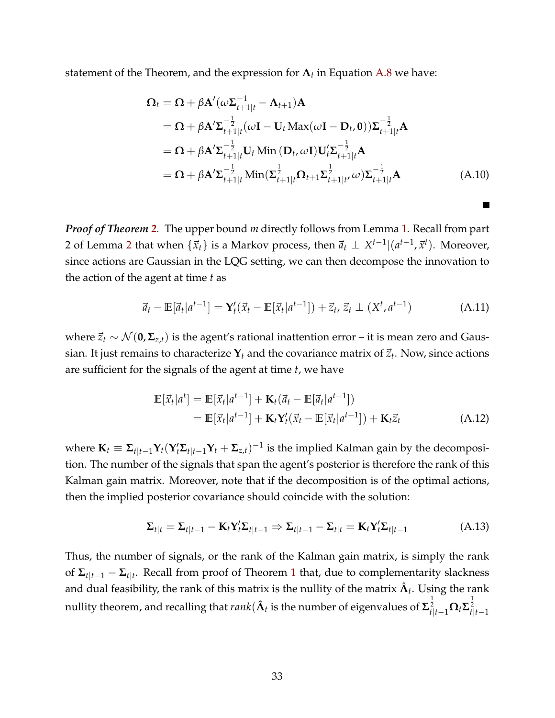statement of the Theorem, and the expression for **Λ***<sup>t</sup>* in Equation [A.8](#page-31-0) we have:

$$
\Omega_{t} = \Omega + \beta \mathbf{A}'(\omega \Sigma_{t+1|t}^{-1} - \Lambda_{t+1}) \mathbf{A}
$$
  
\n
$$
= \Omega + \beta \mathbf{A}' \Sigma_{t+1|t}^{-\frac{1}{2}} (\omega \mathbf{I} - \mathbf{U}_{t} \text{Max}(\omega \mathbf{I} - \mathbf{D}_{t}, \mathbf{0})) \Sigma_{t+1|t}^{-\frac{1}{2}} \mathbf{A}
$$
  
\n
$$
= \Omega + \beta \mathbf{A}' \Sigma_{t+1|t}^{-\frac{1}{2}} \mathbf{U}_{t} \text{Min} (\mathbf{D}_{t}, \omega \mathbf{I}) \mathbf{U}_{t}' \Sigma_{t+1|t}^{-\frac{1}{2}} \mathbf{A}
$$
  
\n
$$
= \Omega + \beta \mathbf{A}' \Sigma_{t+1|t}^{-\frac{1}{2}} \text{Min}(\Sigma_{t+1|t}^{\frac{1}{2}} \Omega_{t+1} \Sigma_{t+1|t}^{\frac{1}{2}} \omega) \Sigma_{t+1|t}^{-\frac{1}{2}} \mathbf{A}
$$
 (A.10)

<span id="page-32-0"></span>**The Second** 

*Proof of Theorem [2](#page-10-2).* The upper bound *m* directly follows from Lemma [1.](#page-6-1) Recall from part [2](#page-6-2) of Lemma 2 that when  $\{\vec{x}_t\}$  is a Markov process, then  $\vec{a}_t \perp X^{t-1} | (a^{t-1}, \vec{x}^t)$ . Moreover, since actions are Gaussian in the LQG setting, we can then decompose the innovation to the action of the agent at time *t* as

$$
\vec{a}_t - \mathbb{E}[\vec{a}_t | a^{t-1}] = \mathbf{Y}_t'(\vec{x}_t - \mathbb{E}[\vec{x}_t | a^{t-1}]) + \vec{z}_t, \, \vec{z}_t \perp (X^t, a^{t-1}) \tag{A.11}
$$

where  $\vec{z}_t$  ∼  $\mathcal{N}(\mathbf{0}, \mathbf{\Sigma}_{z,t})$  is the agent's rational inattention error – it is mean zero and Gaussian. It just remains to characterize  $\mathbf{Y}_t$  and the covariance matrix of  $\vec{z}_t$ . Now, since actions are sufficient for the signals of the agent at time *t*, we have

$$
\mathbb{E}[\vec{x}_t|a^t] = \mathbb{E}[\vec{x}_t|a^{t-1}] + \mathbf{K}_t(\vec{a}_t - \mathbb{E}[\vec{a}_t|a^{t-1}])
$$
  
= 
$$
\mathbb{E}[\vec{x}_t|a^{t-1}] + \mathbf{K}_t\mathbf{Y}_t'(\vec{x}_t - \mathbb{E}[\vec{x}_t|a^{t-1}]) + \mathbf{K}_t\vec{z}_t
$$
 (A.12)

where  $\mathbf{K}_t \equiv \mathbf{\Sigma}_{t|t-1} \mathbf{Y}_t (\mathbf{Y}_t' \mathbf{\Sigma}_{t|t-1} \mathbf{Y}_t + \mathbf{\Sigma}_{z,t})^{-1}$  is the implied Kalman gain by the decomposition. The number of the signals that span the agent's posterior is therefore the rank of this Kalman gain matrix. Moreover, note that if the decomposition is of the optimal actions, then the implied posterior covariance should coincide with the solution:

$$
\Sigma_{t|t} = \Sigma_{t|t-1} - \mathbf{K}_t \mathbf{Y}_t' \Sigma_{t|t-1} \Rightarrow \Sigma_{t|t-1} - \Sigma_{t|t} = \mathbf{K}_t \mathbf{Y}_t' \Sigma_{t|t-1}
$$
\n(A.13)

Thus, the number of signals, or the rank of the Kalman gain matrix, is simply the rank of **Σ***t*|*t*−<sup>1</sup> − **Σ***t*|*<sup>t</sup>* . Recall from proof of Theorem [1](#page-9-4) that, due to complementarity slackness and dual feasibility, the rank of this matrix is the nullity of the matrix  $\hat{\bm{\Lambda}}_t.$  Using the rank nullity theorem, and recalling that  $rank(\hat{\bm{\Lambda}}_t$  is the number of eigenvalues of  $\bm{\Sigma}_{t|t-1}^{\frac{1}{2}}\bm{\Omega}_t\bm{\Sigma}_{t|t-1}^{\frac{1}{2}}$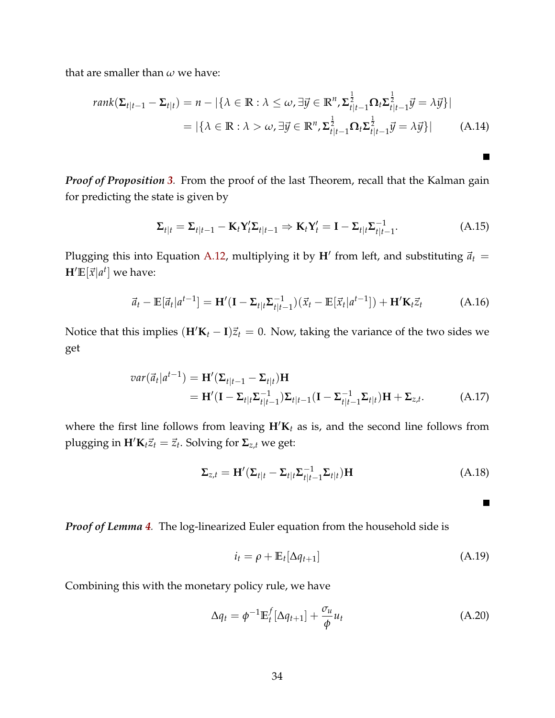that are smaller than *ω* we have:

$$
rank(\Sigma_{t|t-1} - \Sigma_{t|t}) = n - |\{\lambda \in \mathbb{R} : \lambda \le \omega, \exists \vec{y} \in \mathbb{R}^n, \Sigma_{t|t-1}^{\frac{1}{2}} \Omega_t \Sigma_{t|t-1}^{\frac{1}{2}} \vec{y} = \lambda \vec{y}\}|
$$
  
= |\{\lambda \in \mathbb{R} : \lambda > \omega, \exists \vec{y} \in \mathbb{R}^n, \Sigma\_{t|t-1}^{\frac{1}{2}} \Omega\_t \Sigma\_{t|t-1}^{\frac{1}{2}} \vec{y} = \lambda \vec{y}\}| \t(A.14)

*Proof of Proposition [3](#page-10-3).* From the proof of the last Theorem, recall that the Kalman gain for predicting the state is given by

$$
\Sigma_{t|t} = \Sigma_{t|t-1} - \mathbf{K}_t \mathbf{Y}_t' \Sigma_{t|t-1} \Rightarrow \mathbf{K}_t \mathbf{Y}_t' = \mathbf{I} - \Sigma_{t|t} \Sigma_{t|t-1}^{-1}.
$$
\n(A.15)

Plugging this into Equation [A.12,](#page-32-0) multiplying it by  $H'$  from left, and substituting  $\vec{a}_t$  =  $\mathbf{H}'\mathbb{E}[\vec{x}|a^t]$  we have:

$$
\vec{a}_t - \mathbb{E}[\vec{a}_t|a^{t-1}] = \mathbf{H}'(\mathbf{I} - \Sigma_{t|t}\Sigma_{t|t-1}^{-1})(\vec{x}_t - \mathbb{E}[\vec{x}_t|a^{t-1}]) + \mathbf{H}'\mathbf{K}_t\vec{z}_t
$$
(A.16)

Notice that this implies  $(H/K_t - I)\vec{z}_t = 0$ . Now, taking the variance of the two sides we get

$$
var(\vec{a}_t|a^{t-1}) = \mathbf{H}'(\Sigma_{t|t-1} - \Sigma_{t|t})\mathbf{H}
$$
  
= 
$$
\mathbf{H}'(\mathbf{I} - \Sigma_{t|t}\Sigma_{t|t-1}^{-1})\Sigma_{t|t-1}(\mathbf{I} - \Sigma_{t|t-1}^{-1}\Sigma_{t|t})\mathbf{H} + \Sigma_{z,t}.
$$
 (A.17)

where the first line follows from leaving  $H/K_t$  as is, and the second line follows from plugging in  $\mathbf{H}'\mathbf{K}_t\vec{z}_t = \vec{z}_t$ . Solving for  $\Sigma_{z,t}$  we get:

$$
\Sigma_{z,t} = \mathbf{H}'(\Sigma_{t|t} - \Sigma_{t|t}\Sigma_{t|t-1}^{-1}\Sigma_{t|t})\mathbf{H}
$$
\n(A.18)

 $\blacksquare$ 

П

*Proof of Lemma [4](#page-12-0).* The log-linearized Euler equation from the household side is

$$
i_t = \rho + \mathbb{E}_t[\Delta q_{t+1}] \tag{A.19}
$$

Combining this with the monetary policy rule, we have

$$
\Delta q_t = \phi^{-1} \mathbb{E}_t^f [\Delta q_{t+1}] + \frac{\sigma_u}{\phi} u_t \tag{A.20}
$$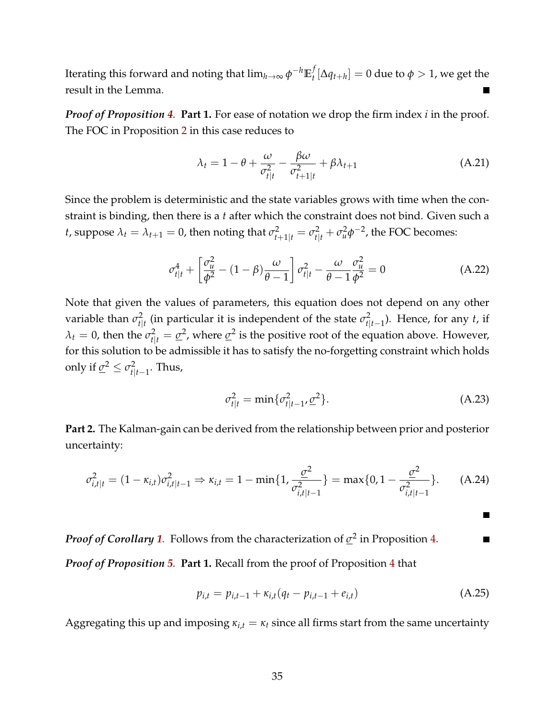Iterating this forward and noting that  $\lim_{h\to\infty} \phi^{-h} \mathbb{E}_t^f$  $\mathcal{L}_t^f[\Delta q_{t+h}] = 0$  due to  $\phi > 1$ , we get the result in the Lemma.

*Proof of Proposition [4](#page-14-0).* **Part 1.** For ease of notation we drop the firm index *i* in the proof. The FOC in Proposition [2](#page-9-1) in this case reduces to

$$
\lambda_t = 1 - \theta + \frac{\omega}{\sigma_{t|t}^2} - \frac{\beta \omega}{\sigma_{t+1|t}^2} + \beta \lambda_{t+1}
$$
\n(A.21)

Since the problem is deterministic and the state variables grows with time when the constraint is binding, then there is a *t* after which the constraint does not bind. Given such a *t*, suppose  $\lambda_t = \lambda_{t+1} = 0$ , then noting that  $\sigma_{t+1|t}^2 = \sigma_{t|t}^2 + \sigma_u^2 \phi^{-2}$ , the FOC becomes:

$$
\sigma_{t|t}^4 + \left[\frac{\sigma_u^2}{\phi^2} - (1 - \beta)\frac{\omega}{\theta - 1}\right] \sigma_{t|t}^2 - \frac{\omega}{\theta - 1} \frac{\sigma_u^2}{\phi^2} = 0 \tag{A.22}
$$

Note that given the values of parameters, this equation does not depend on any other variable than  $\sigma_{t|t}^2$  (in particular it is independent of the state  $\sigma_{t|t-1}^2$ ). Hence, for any *t*, if  $\lambda_t = 0$ , then the  $\sigma_{t|t}^2 = \underline{\sigma}^2$ , where  $\underline{\sigma}^2$  is the positive root of the equation above. However, for this solution to be admissible it has to satisfy the no-forgetting constraint which holds only if  $\underline{\sigma}^2 \leq \sigma_{t|t-1}^2$ . Thus,

<span id="page-34-0"></span>
$$
\sigma_{t|t}^2 = \min \{ \sigma_{t|t-1}^2, \underline{\sigma}^2 \}. \tag{A.23}
$$

**Part 2.** The Kalman-gain can be derived from the relationship between prior and posterior uncertainty:

$$
\sigma_{i,t|t}^2 = (1 - \kappa_{i,t})\sigma_{i,t|t-1}^2 \Rightarrow \kappa_{i,t} = 1 - \min\{1, \frac{\sigma^2}{\sigma_{i,t|t-1}^2}\} = \max\{0, 1 - \frac{\sigma^2}{\sigma_{i,t|t-1}^2}\}.
$$
 (A.24)

*Proof of Corollary [1](#page-15-0).* Follows from the characterization of *σ* 2 in Proposition [4.](#page-14-0) п *Proof of Proposition [5](#page-16-2).* **Part 1.** Recall from the proof of Proposition [4](#page-14-0) that

$$
p_{i,t} = p_{i,t-1} + \kappa_{i,t}(q_t - p_{i,t-1} + e_{i,t})
$$
 (A.25)

Aggregating this up and imposing  $\kappa_{i,t} = \kappa_t$  since all firms start from the same uncertainty